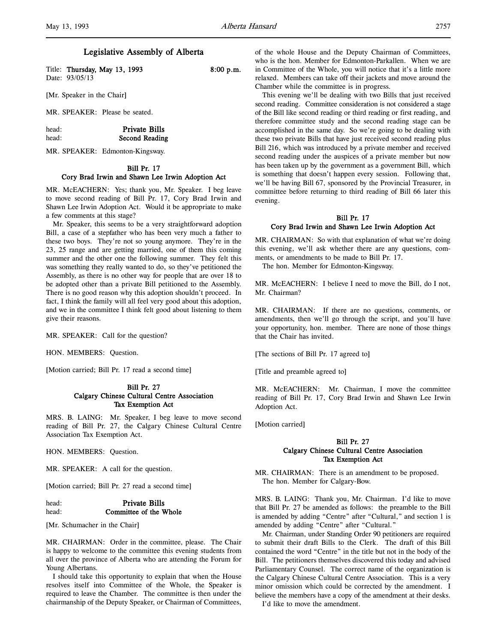l,

# Legislative Assembly of Alberta

Title: Thursday, May 13, 1993 8:00 p.m. Date: 93/05/13

[Mr. Speaker in the Chair]

MR. SPEAKER: Please be seated.

head: Private Bills head: Second Reading

MR. SPEAKER: Edmonton-Kingsway.

# Bill Pr. 17

## Cory Brad Irwin and Shawn Lee Irwin Adoption Act

MR. McEACHERN: Yes; thank you, Mr. Speaker. I beg leave to move second reading of Bill Pr. 17, Cory Brad Irwin and Shawn Lee Irwin Adoption Act. Would it be appropriate to make a few comments at this stage?

Mr. Speaker, this seems to be a very straightforward adoption Bill, a case of a stepfather who has been very much a father to these two boys. They're not so young anymore. They're in the 23, 25 range and are getting married, one of them this coming summer and the other one the following summer. They felt this was something they really wanted to do, so they've petitioned the Assembly, as there is no other way for people that are over 18 to be adopted other than a private Bill petitioned to the Assembly. There is no good reason why this adoption shouldn't proceed. In fact, I think the family will all feel very good about this adoption, and we in the committee I think felt good about listening to them give their reasons.

MR. SPEAKER: Call for the question?

HON. MEMBERS: Question.

[Motion carried; Bill Pr. 17 read a second time]

## Bill Pr. 27 Calgary Chinese Cultural Centre Association Tax Exemption Act

MRS. B. LAING: Mr. Speaker, I beg leave to move second reading of Bill Pr. 27, the Calgary Chinese Cultural Centre Association Tax Exemption Act.

HON. MEMBERS: Question.

MR. SPEAKER: A call for the question.

[Motion carried; Bill Pr. 27 read a second time]

# head: Private Bills head: **Committee of the Whole**

[Mr. Schumacher in the Chair]

MR. CHAIRMAN: Order in the committee, please. The Chair is happy to welcome to the committee this evening students from all over the province of Alberta who are attending the Forum for Young Albertans.

I should take this opportunity to explain that when the House resolves itself into Committee of the Whole, the Speaker is required to leave the Chamber. The committee is then under the chairmanship of the Deputy Speaker, or Chairman of Committees,

of the whole House and the Deputy Chairman of Committees, who is the hon. Member for Edmonton-Parkallen. When we are in Committee of the Whole, you will notice that it's a little more relaxed. Members can take off their jackets and move around the Chamber while the committee is in progress.

This evening we'll be dealing with two Bills that just received second reading. Committee consideration is not considered a stage of the Bill like second reading or third reading or first reading, and therefore committee study and the second reading stage can be accomplished in the same day. So we're going to be dealing with these two private Bills that have just received second reading plus Bill 216, which was introduced by a private member and received second reading under the auspices of a private member but now has been taken up by the government as a government Bill, which is something that doesn't happen every session. Following that, we'll be having Bill 67, sponsored by the Provincial Treasurer, in committee before returning to third reading of Bill 66 later this evening.

# Bill Pr. 17 Cory Brad Irwin and Shawn Lee Irwin Adoption Act

MR. CHAIRMAN: So with that explanation of what we're doing this evening, we'll ask whether there are any questions, comments, or amendments to be made to Bill Pr. 17.

The hon. Member for Edmonton-Kingsway.

MR. McEACHERN: I believe I need to move the Bill, do I not, Mr. Chairman?

MR. CHAIRMAN: If there are no questions, comments, or amendments, then we'll go through the script, and you'll have your opportunity, hon. member. There are none of those things that the Chair has invited.

[The sections of Bill Pr. 17 agreed to]

[Title and preamble agreed to]

MR. McEACHERN: Mr. Chairman, I move the committee reading of Bill Pr. 17, Cory Brad Irwin and Shawn Lee Irwin Adoption Act.

[Motion carried]

# Bill Pr. 27 Calgary Chinese Cultural Centre Association Tax Exemption Act

MR. CHAIRMAN: There is an amendment to be proposed. The hon. Member for Calgary-Bow.

MRS. B. LAING: Thank you, Mr. Chairman. I'd like to move that Bill Pr. 27 be amended as follows: the preamble to the Bill is amended by adding "Centre" after "Cultural," and section 1 is amended by adding "Centre" after "Cultural."

Mr. Chairman, under Standing Order 90 petitioners are required to submit their draft Bills to the Clerk. The draft of this Bill contained the word "Centre" in the title but not in the body of the Bill. The petitioners themselves discovered this today and advised Parliamentary Counsel. The correct name of the organization is the Calgary Chinese Cultural Centre Association. This is a very minor omission which could be corrected by the amendment. I believe the members have a copy of the amendment at their desks.

I'd like to move the amendment.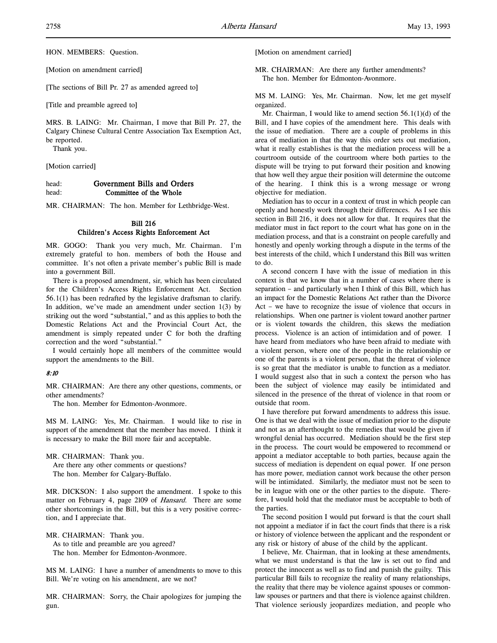HON. MEMBERS: Question.

[Motion on amendment carried]

[The sections of Bill Pr. 27 as amended agreed to]

[Title and preamble agreed to]

MRS. B. LAING: Mr. Chairman, I move that Bill Pr. 27, the Calgary Chinese Cultural Centre Association Tax Exemption Act, be reported.

Thank you.

[Motion carried]

head: Government Bills and Orders head: **Committee of the Whole** 

MR. CHAIRMAN: The hon. Member for Lethbridge-West.

# Bill 216 Children's Access Rights Enforcement Act

MR. GOGO: Thank you very much, Mr. Chairman. I'm extremely grateful to hon. members of both the House and committee. It's not often a private member's public Bill is made into a government Bill.

There is a proposed amendment, sir, which has been circulated for the Children's Access Rights Enforcement Act. Section 56.1(1) has been redrafted by the legislative draftsman to clarify. In addition, we've made an amendment under section  $1(3)$  by striking out the word "substantial," and as this applies to both the Domestic Relations Act and the Provincial Court Act, the amendment is simply repeated under C for both the drafting correction and the word "substantial."

I would certainly hope all members of the committee would support the amendments to the Bill.

# 8:10

MR. CHAIRMAN: Are there any other questions, comments, or other amendments?

The hon. Member for Edmonton-Avonmore.

MS M. LAING: Yes, Mr. Chairman. I would like to rise in support of the amendment that the member has moved. I think it is necessary to make the Bill more fair and acceptable.

MR. CHAIRMAN: Thank you.

Are there any other comments or questions? The hon. Member for Calgary-Buffalo.

MR. DICKSON: I also support the amendment. I spoke to this matter on February 4, page 2109 of Hansard. There are some other shortcomings in the Bill, but this is a very positive correction, and I appreciate that.

MR. CHAIRMAN: Thank you. As to title and preamble are you agreed?

The hon. Member for Edmonton-Avonmore.

MS M. LAING: I have a number of amendments to move to this Bill. We're voting on his amendment, are we not?

MR. CHAIRMAN: Sorry, the Chair apologizes for jumping the gun.

[Motion on amendment carried]

MR. CHAIRMAN: Are there any further amendments? The hon. Member for Edmonton-Avonmore.

MS M. LAING: Yes, Mr. Chairman. Now, let me get myself organized.

Mr. Chairman, I would like to amend section 56.1(1)(d) of the Bill, and I have copies of the amendment here. This deals with the issue of mediation. There are a couple of problems in this area of mediation in that the way this order sets out mediation, what it really establishes is that the mediation process will be a courtroom outside of the courtroom where both parties to the dispute will be trying to put forward their position and knowing that how well they argue their position will determine the outcome of the hearing. I think this is a wrong message or wrong objective for mediation.

Mediation has to occur in a context of trust in which people can openly and honestly work through their differences. As I see this section in Bill 216, it does not allow for that. It requires that the mediator must in fact report to the court what has gone on in the mediation process, and that is a constraint on people carefully and honestly and openly working through a dispute in the terms of the best interests of the child, which I understand this Bill was written to do.

A second concern I have with the issue of mediation in this context is that we know that in a number of cases where there is separation – and particularly when I think of this Bill, which has an impact for the Domestic Relations Act rather than the Divorce Act – we have to recognize the issue of violence that occurs in relationships. When one partner is violent toward another partner or is violent towards the children, this skews the mediation process. Violence is an action of intimidation and of power. I have heard from mediators who have been afraid to mediate with a violent person, where one of the people in the relationship or one of the parents is a violent person, that the threat of violence is so great that the mediator is unable to function as a mediator. I would suggest also that in such a context the person who has been the subject of violence may easily be intimidated and silenced in the presence of the threat of violence in that room or outside that room.

I have therefore put forward amendments to address this issue. One is that we deal with the issue of mediation prior to the dispute and not as an afterthought to the remedies that would be given if wrongful denial has occurred. Mediation should be the first step in the process. The court would be empowered to recommend or appoint a mediator acceptable to both parties, because again the success of mediation is dependent on equal power. If one person has more power, mediation cannot work because the other person will be intimidated. Similarly, the mediator must not be seen to be in league with one or the other parties to the dispute. Therefore, I would hold that the mediator must be acceptable to both of the parties.

The second position I would put forward is that the court shall not appoint a mediator if in fact the court finds that there is a risk or history of violence between the applicant and the respondent or any risk or history of abuse of the child by the applicant.

I believe, Mr. Chairman, that in looking at these amendments, what we must understand is that the law is set out to find and protect the innocent as well as to find and punish the guilty. This particular Bill fails to recognize the reality of many relationships, the reality that there may be violence against spouses or commonlaw spouses or partners and that there is violence against children. That violence seriously jeopardizes mediation, and people who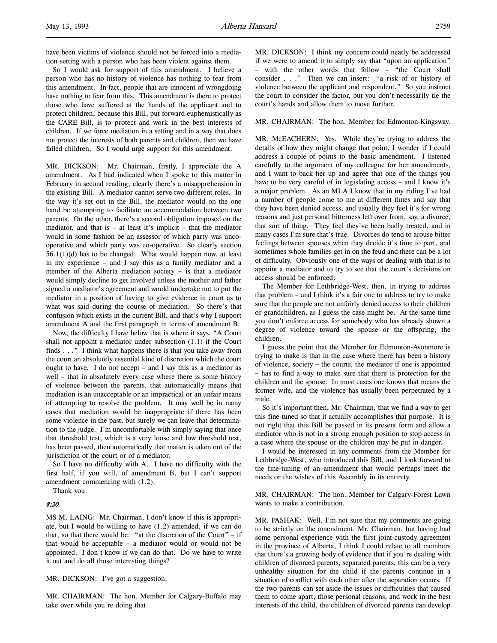have been victims of violence should not be forced into a mediation setting with a person who has been violent against them.

So I would ask for support of this amendment. I believe a person who has no history of violence has nothing to fear from this amendment. In fact, people that are innocent of wrongdoing have nothing to fear from this. This amendment is there to protect those who have suffered at the hands of the applicant and to protect children, because this Bill, put forward euphemistically as the CARE Bill, is to protect and work in the best interests of children. If we force mediation in a setting and in a way that does not protect the interests of both parents and children, then we have failed children. So I would urge support for this amendment.

MR. DICKSON: Mr. Chairman, firstly, I appreciate the A amendment. As I had indicated when I spoke to this matter in February in second reading, clearly there's a misapprehension in the existing Bill. A mediator cannot serve two different roles. In the way it's set out in the Bill, the mediator would on the one hand be attempting to facilitate an accommodation between two parents. On the other, there's a second obligation imposed on the mediator, and that is – at least it's implicit – that the mediator would in some fashion be an assessor of which party was uncooperative and which party was co-operative. So clearly section 56.1(1)(d) has to be changed. What would happen now, at least in my experience – and I say this as a family mediator and a member of the Alberta mediation society – is that a mediator would simply decline to get involved unless the mother and father signed a mediator's agreement and would undertake not to put the mediator in a position of having to give evidence in court as to what was said during the course of mediation. So there's that confusion which exists in the current Bill, and that's why I support amendment A and the first paragraph in terms of amendment B.

Now, the difficulty I have below that is where it says, "A Court shall not appoint a mediator under subsection (1.1) if the Court finds . . ." I think what happens there is that you take away from the court an absolutely essential kind of discretion which the court ought to have. I do not accept – and I say this as a mediator as well – that in absolutely every case where there is some history of violence between the parents, that automatically means that mediation is an unacceptable or an impractical or an unfair means of attempting to resolve the problem. It may well be in many cases that mediation would be inappropriate if there has been some violence in the past, but surely we can leave that determination to the judge. I'm uncomfortable with simply saying that once that threshold test, which is a very loose and low threshold test, has been passed, then automatically that matter is taken out of the jurisdiction of the court or of a mediator.

So I have no difficulty with A. I have no difficulty with the first half, if you will, of amendment B, but I can't support amendment commencing with (1.2).

Thank you.

#### 8:20

MS M. LAING: Mr. Chairman, I don't know if this is appropriate, but I would be willing to have (1.2) amended, if we can do that, so that there would be: "at the discretion of the Court" – if that would be acceptable – a mediator would or would not be appointed. I don't know if we can do that. Do we have to write it out and do all those interesting things?

MR. DICKSON: I've got a suggestion.

MR. CHAIRMAN: The hon. Member for Calgary-Buffalo may take over while you're doing that.

MR. DICKSON: I think my concern could neatly be addressed if we were to amend it to simply say that "upon an application" – with the other words that follow – "the Court shall consider . . ." Then we can insert: "a risk of or history of violence between the applicant and respondent." So you instruct the court to consider the factor, but you don't necessarily tie the court's hands and allow them to move further.

#### MR. CHAIRMAN: The hon. Member for Edmonton-Kingsway.

MR. McEACHERN: Yes. While they're trying to address the details of how they might change that point, I wonder if I could address a couple of points to the basic amendment. I listened carefully to the argument of my colleague for her amendments, and I want to back her up and agree that one of the things you have to be very careful of in legislating access – and I know it's a major problem. As an MLA I know that in my riding I've had a number of people come to me at different times and say that they have been denied access, and usually they feel it's for wrong reasons and just personal bitterness left over from, say, a divorce, that sort of thing. They feel they've been badly treated, and in many cases I'm sure that's true. Divorces do tend to arouse bitter feelings between spouses when they decide it's time to part, and sometimes whole families get in on the feud and there can be a lot of difficulty. Obviously one of the ways of dealing with that is to appoint a mediator and to try to see that the court's decisions on access should be enforced.

The Member for Lethbridge-West, then, in trying to address that problem – and I think it's a fair one to address to try to make sure that the people are not unfairly denied access to their children or grandchildren, as I guess the case might be. At the same time you don't enforce access for somebody who has already shown a degree of violence toward the spouse or the offspring, the children.

I guess the point that the Member for Edmonton-Avonmore is trying to make is that in the case where there has been a history of violence, society – the courts, the mediator if one is appointed – has to find a way to make sure that there is protection for the children and the spouse. In most cases one knows that means the former wife, and the violence has usually been perpetrated by a male.

So it's important then, Mr. Chairman, that we find a way to get this fine-tuned so that it actually accomplishes that purpose. It is not right that this Bill be passed in its present form and allow a mediator who is not in a strong enough position to stop access in a case where the spouse or the children may be put in danger.

I would be interested in any comments from the Member for Lethbridge-West, who introduced this Bill, and I look forward to the fine-tuning of an amendment that would perhaps meet the needs or the wishes of this Assembly in its entirety.

MR. CHAIRMAN: The hon. Member for Calgary-Forest Lawn wants to make a contribution.

MR. PASHAK: Well, I'm not sure that my comments are going to be strictly on the amendment, Mr. Chairman, but having had some personal experience with the first joint-custody agreement in the province of Alberta, I think I could relate to all members that there's a growing body of evidence that if you're dealing with children of divorced parents, separated parents, this can be a very unhealthy situation for the child if the parents continue in a situation of conflict with each other after the separation occurs. If the two parents can set aside the issues or difficulties that caused them to come apart, those personal reasons, and work in the best interests of the child, the children of divorced parents can develop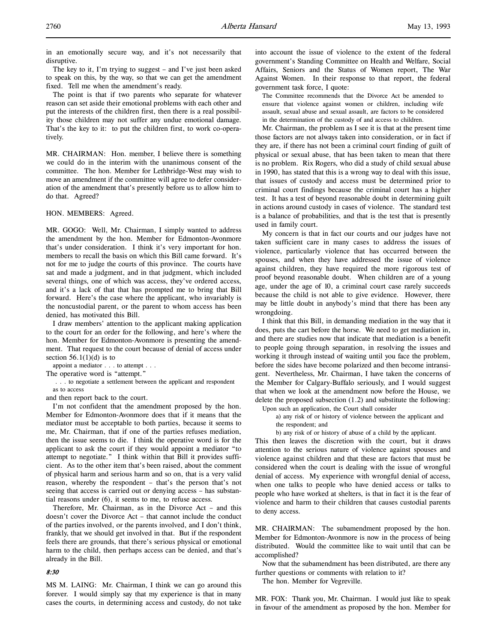in an emotionally secure way, and it's not necessarily that disruptive.

The key to it, I'm trying to suggest – and I've just been asked to speak on this, by the way, so that we can get the amendment fixed. Tell me when the amendment's ready.

The point is that if two parents who separate for whatever reason can set aside their emotional problems with each other and put the interests of the children first, then there is a real possibility those children may not suffer any undue emotional damage. That's the key to it: to put the children first, to work co-operatively.

MR. CHAIRMAN: Hon. member, I believe there is something we could do in the interim with the unanimous consent of the committee. The hon. Member for Lethbridge-West may wish to move an amendment if the committee will agree to defer consideration of the amendment that's presently before us to allow him to do that. Agreed?

#### HON. MEMBERS: Agreed.

MR. GOGO: Well, Mr. Chairman, I simply wanted to address the amendment by the hon. Member for Edmonton-Avonmore that's under consideration. I think it's very important for hon. members to recall the basis on which this Bill came forward. It's not for me to judge the courts of this province. The courts have sat and made a judgment, and in that judgment, which included several things, one of which was access, they've ordered access, and it's a lack of that that has prompted me to bring that Bill forward. Here's the case where the applicant, who invariably is the noncustodial parent, or the parent to whom access has been denied, has motivated this Bill.

I draw members' attention to the applicant making application to the court for an order for the following, and here's where the hon. Member for Edmonton-Avonmore is presenting the amendment. That request to the court because of denial of access under section  $56.1(1)(d)$  is to

appoint a mediator . . . to attempt . . .

The operative word is "attempt."

 . . . to negotiate a settlement between the applicant and respondent as to access

and then report back to the court.

I'm not confident that the amendment proposed by the hon. Member for Edmonton-Avonmore does that if it means that the mediator must be acceptable to both parties, because it seems to me, Mr. Chairman, that if one of the parties refuses mediation, then the issue seems to die. I think the operative word is for the applicant to ask the court if they would appoint a mediator "to attempt to negotiate." I think within that Bill it provides sufficient. As to the other item that's been raised, about the comment of physical harm and serious harm and so on, that is a very valid reason, whereby the respondent – that's the person that's not seeing that access is carried out or denying access – has substantial reasons under (6), it seems to me, to refuse access.

Therefore, Mr. Chairman, as in the Divorce Act – and this doesn't cover the Divorce Act – that cannot include the conduct of the parties involved, or the parents involved, and I don't think, frankly, that we should get involved in that. But if the respondent feels there are grounds, that there's serious physical or emotional harm to the child, then perhaps access can be denied, and that's already in the Bill.

#### 8:30

MS M. LAING: Mr. Chairman, I think we can go around this forever. I would simply say that my experience is that in many cases the courts, in determining access and custody, do not take into account the issue of violence to the extent of the federal government's Standing Committee on Health and Welfare, Social Affairs, Seniors and the Status of Women report, The War Against Women. In their response to that report, the federal government task force, I quote:

The Committee recommends that the Divorce Act be amended to ensure that violence against women or children, including wife assault, sexual abuse and sexual assault, are factors to be considered in the determination of the custody of and access to children.

Mr. Chairman, the problem as I see it is that at the present time those factors are not always taken into consideration, or in fact if they are, if there has not been a criminal court finding of guilt of physical or sexual abuse, that has been taken to mean that there is no problem. Rix Rogers, who did a study of child sexual abuse in 1990, has stated that this is a wrong way to deal with this issue, that issues of custody and access must be determined prior to criminal court findings because the criminal court has a higher test. It has a test of beyond reasonable doubt in determining guilt in actions around custody in cases of violence. The standard test is a balance of probabilities, and that is the test that is presently used in family court.

My concern is that in fact our courts and our judges have not taken sufficient care in many cases to address the issues of violence, particularly violence that has occurred between the spouses, and when they have addressed the issue of violence against children, they have required the more rigorous test of proof beyond reasonable doubt. When children are of a young age, under the age of 10, a criminal court case rarely succeeds because the child is not able to give evidence. However, there may be little doubt in anybody's mind that there has been any wrongdoing.

I think that this Bill, in demanding mediation in the way that it does, puts the cart before the horse. We need to get mediation in, and there are studies now that indicate that mediation is a benefit to people going through separation, in resolving the issues and working it through instead of waiting until you face the problem, before the sides have become polarized and then become intransigent. Nevertheless, Mr. Chairman, I have taken the concerns of the Member for Calgary-Buffalo seriously, and I would suggest that when we look at the amendment now before the House, we delete the proposed subsection (1.2) and substitute the following:

Upon such an application, the Court shall consider

a) any risk of or history of violence between the applicant and the respondent; and

b) any risk of or history of abuse of a child by the applicant.

This then leaves the discretion with the court, but it draws attention to the serious nature of violence against spouses and violence against children and that these are factors that must be considered when the court is dealing with the issue of wrongful denial of access. My experience with wrongful denial of access, when one talks to people who have denied access or talks to people who have worked at shelters, is that in fact it is the fear of violence and harm to their children that causes custodial parents to deny access.

MR. CHAIRMAN: The subamendment proposed by the hon. Member for Edmonton-Avonmore is now in the process of being distributed. Would the committee like to wait until that can be accomplished?

Now that the subamendment has been distributed, are there any further questions or comments with relation to it?

The hon. Member for Vegreville.

MR. FOX: Thank you, Mr. Chairman. I would just like to speak in favour of the amendment as proposed by the hon. Member for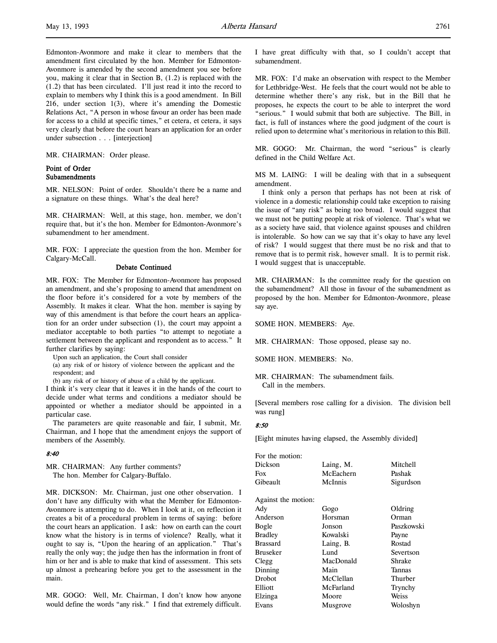Edmonton-Avonmore and make it clear to members that the amendment first circulated by the hon. Member for Edmonton-Avonmore is amended by the second amendment you see before you, making it clear that in Section B, (1.2) is replaced with the (1.2) that has been circulated. I'll just read it into the record to explain to members why I think this is a good amendment. In Bill 216, under section 1(3), where it's amending the Domestic Relations Act, "A person in whose favour an order has been made for access to a child at specific times," et cetera, et cetera, it says very clearly that before the court hears an application for an order under subsection . . . [interjection]

MR. CHAIRMAN: Order please.

## Point of Order Subamendments

MR. NELSON: Point of order. Shouldn't there be a name and a signature on these things. What's the deal here?

MR. CHAIRMAN: Well, at this stage, hon. member, we don't require that, but it's the hon. Member for Edmonton-Avonmore's subamendment to her amendment.

MR. FOX: I appreciate the question from the hon. Member for Calgary-McCall.

#### Debate Continued

MR. FOX: The Member for Edmonton-Avonmore has proposed an amendment, and she's proposing to amend that amendment on the floor before it's considered for a vote by members of the Assembly. It makes it clear. What the hon. member is saying by way of this amendment is that before the court hears an application for an order under subsection (1), the court may appoint a mediator acceptable to both parties "to attempt to negotiate a settlement between the applicant and respondent as to access." It further clarifies by saying:

Upon such an application, the Court shall consider

(a) any risk of or history of violence between the applicant and the respondent; and

(b) any risk of or history of abuse of a child by the applicant.

I think it's very clear that it leaves it in the hands of the court to decide under what terms and conditions a mediator should be appointed or whether a mediator should be appointed in a particular case.

The parameters are quite reasonable and fair, I submit, Mr. Chairman, and I hope that the amendment enjoys the support of members of the Assembly.

# 8:40

MR. CHAIRMAN: Any further comments? The hon. Member for Calgary-Buffalo.

MR. DICKSON: Mr. Chairman, just one other observation. I don't have any difficulty with what the Member for Edmonton-Avonmore is attempting to do. When I look at it, on reflection it creates a bit of a procedural problem in terms of saying: before the court hears an application. I ask: how on earth can the court know what the history is in terms of violence? Really, what it ought to say is, "Upon the hearing of an application." That's really the only way; the judge then has the information in front of him or her and is able to make that kind of assessment. This sets up almost a prehearing before you get to the assessment in the main.

MR. GOGO: Well, Mr. Chairman, I don't know how anyone would define the words "any risk." I find that extremely difficult.

I have great difficulty with that, so I couldn't accept that subamendment.

MR. FOX: I'd make an observation with respect to the Member for Lethbridge-West. He feels that the court would not be able to determine whether there's any risk, but in the Bill that he proposes, he expects the court to be able to interpret the word "serious." I would submit that both are subjective. The Bill, in fact, is full of instances where the good judgment of the court is relied upon to determine what's meritorious in relation to this Bill.

MR. GOGO: Mr. Chairman, the word "serious" is clearly defined in the Child Welfare Act.

MS M. LAING: I will be dealing with that in a subsequent amendment.

I think only a person that perhaps has not been at risk of violence in a domestic relationship could take exception to raising the issue of "any risk" as being too broad. I would suggest that we must not be putting people at risk of violence. That's what we as a society have said, that violence against spouses and children is intolerable. So how can we say that it's okay to have any level of risk? I would suggest that there must be no risk and that to remove that is to permit risk, however small. It is to permit risk. I would suggest that is unacceptable.

MR. CHAIRMAN: Is the committee ready for the question on the subamendment? All those in favour of the subamendment as proposed by the hon. Member for Edmonton-Avonmore, please say aye.

SOME HON. MEMBERS: Aye.

MR. CHAIRMAN: Those opposed, please say no.

SOME HON. MEMBERS: No.

MR. CHAIRMAN: The subamendment fails. Call in the members.

[Several members rose calling for a division. The division bell was rung]

#### 8:50

[Eight minutes having elapsed, the Assembly divided]

| For the motion:     |           |            |
|---------------------|-----------|------------|
| Dickson             | Laing, M. | Mitchell   |
| Fox                 | McEachern | Pashak     |
| Gibeault            | McInnis   | Sigurdson  |
| Against the motion: |           |            |
| Ady                 | Gogo      | Oldring    |
| Anderson            | Horsman   | Orman      |
| Bogle               | Jonson    | Paszkowski |
| <b>Bradley</b>      | Kowalski  | Payne      |
| <b>Brassard</b>     | Laing, B. | Rostad     |
| Bruseker            | Lund      | Severtson  |
| Clegg               | MacDonald | Shrake     |
| Dinning             | Main      | Tannas     |
| Drobot              | McClellan | Thurber    |
| Elliott             | McFarland | Trynchy    |
| Elzinga             | Moore     | Weiss      |
| Evans               | Musgrove  | Woloshyn   |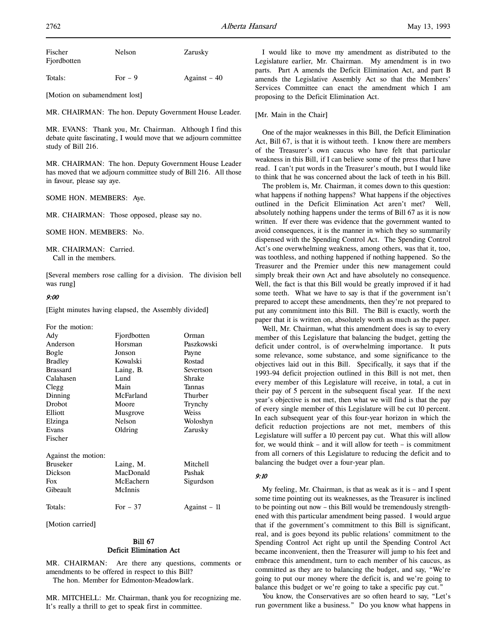| Fischer<br>Fjordbotten | Nelson    | Zarusky       |
|------------------------|-----------|---------------|
| Totals:                | $For - 9$ | Against $-40$ |

[Motion on subamendment lost]

MR. CHAIRMAN: The hon. Deputy Government House Leader.

MR. EVANS: Thank you, Mr. Chairman. Although I find this debate quite fascinating, I would move that we adjourn committee study of Bill 216.

MR. CHAIRMAN: The hon. Deputy Government House Leader has moved that we adjourn committee study of Bill 216. All those in favour, please say aye.

SOME HON. MEMBERS: Aye.

MR. CHAIRMAN: Those opposed, please say no.

SOME HON. MEMBERS: No.

MR. CHAIRMAN: Carried. Call in the members.

[Several members rose calling for a division. The division bell was rung]

#### 9:00

[Eight minutes having elapsed, the Assembly divided]

| For the motion:     |               |              |
|---------------------|---------------|--------------|
| Ady                 | Fjordbotten   | Orman        |
| Anderson            | Horsman       | Paszkowski   |
| Bogle               | Jonson        | Payne        |
| <b>Bradley</b>      | Kowalski      | Rostad       |
| <b>Brassard</b>     | Laing, B.     | Severtson    |
| Calahasen           | Lund          | Shrake       |
| Clegg               | Main          | Tannas       |
| Dinning             | McFarland     | Thurber      |
| Drobot              | Moore         | Trynchy      |
| Elliott             | Musgrove      | Weiss        |
| Elzinga             | <b>Nelson</b> | Woloshyn     |
| Evans               | Oldring       | Zarusky      |
| Fischer             |               |              |
| Against the motion: |               |              |
| <b>Bruseker</b>     | Laing, M.     | Mitchell     |
| Dickson             | MacDonald     | Pashak       |
| Fox                 | McEachern     | Sigurdson    |
| Gibeault            | McInnis       |              |
| Totals:             | For $-37$     | Against – 11 |

[Motion carried]

# Bill 67 Deficit Elimination Act

MR. CHAIRMAN: Are there any questions, comments or amendments to be offered in respect to this Bill?

The hon. Member for Edmonton-Meadowlark.

MR. MITCHELL: Mr. Chairman, thank you for recognizing me. It's really a thrill to get to speak first in committee.

I would like to move my amendment as distributed to the Legislature earlier, Mr. Chairman. My amendment is in two parts. Part A amends the Deficit Elimination Act, and part B amends the Legislative Assembly Act so that the Members' Services Committee can enact the amendment which I am proposing to the Deficit Elimination Act.

### [Mr. Main in the Chair]

One of the major weaknesses in this Bill, the Deficit Elimination Act, Bill 67, is that it is without teeth. I know there are members of the Treasurer's own caucus who have felt that particular weakness in this Bill, if I can believe some of the press that I have read. I can't put words in the Treasurer's mouth, but I would like to think that he was concerned about the lack of teeth in his Bill.

The problem is, Mr. Chairman, it comes down to this question: what happens if nothing happens? What happens if the objectives outlined in the Deficit Elimination Act aren't met? Well, absolutely nothing happens under the terms of Bill 67 as it is now written. If ever there was evidence that the government wanted to avoid consequences, it is the manner in which they so summarily dispensed with the Spending Control Act. The Spending Control Act's one overwhelming weakness, among others, was that it, too, was toothless, and nothing happened if nothing happened. So the Treasurer and the Premier under this new management could simply break their own Act and have absolutely no consequence. Well, the fact is that this Bill would be greatly improved if it had some teeth. What we have to say is that if the government isn't prepared to accept these amendments, then they're not prepared to put any commitment into this Bill. The Bill is exactly, worth the paper that it is written on, absolutely worth as much as the paper.

Well, Mr. Chairman, what this amendment does is say to every member of this Legislature that balancing the budget, getting the deficit under control, is of overwhelming importance. It puts some relevance, some substance, and some significance to the objectives laid out in this Bill. Specifically, it says that if the 1993-94 deficit projection outlined in this Bill is not met, then every member of this Legislature will receive, in total, a cut in their pay of 5 percent in the subsequent fiscal year. If the next year's objective is not met, then what we will find is that the pay of every single member of this Legislature will be cut 10 percent. In each subsequent year of this four-year horizon in which the deficit reduction projections are not met, members of this Legislature will suffer a 10 percent pay cut. What this will allow for, we would think – and it will allow for teeth – is commitment from all corners of this Legislature to reducing the deficit and to balancing the budget over a four-year plan.

## 9:10

My feeling, Mr. Chairman, is that as weak as it is – and I spent some time pointing out its weaknesses, as the Treasurer is inclined to be pointing out now – this Bill would be tremendously strengthened with this particular amendment being passed. I would argue that if the government's commitment to this Bill is significant, real, and is goes beyond its public relations' commitment to the Spending Control Act right up until the Spending Control Act became inconvenient, then the Treasurer will jump to his feet and embrace this amendment, turn to each member of his caucus, as committed as they are to balancing the budget, and say, "We're going to put our money where the deficit is, and we're going to balance this budget or we're going to take a specific pay cut."

You know, the Conservatives are so often heard to say, "Let's run government like a business." Do you know what happens in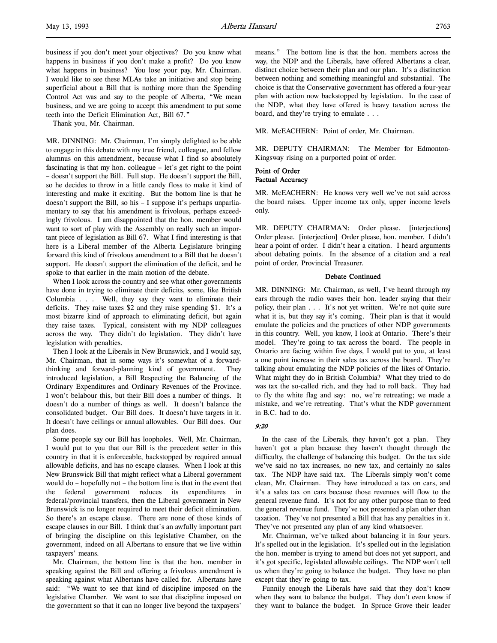business if you don't meet your objectives? Do you know what happens in business if you don't make a profit? Do you know what happens in business? You lose your pay, Mr. Chairman. I would like to see these MLAs take an initiative and stop being superficial about a Bill that is nothing more than the Spending Control Act was and say to the people of Alberta, "We mean business, and we are going to accept this amendment to put some teeth into the Deficit Elimination Act, Bill 67."

Thank you, Mr. Chairman.

MR. DINNING: Mr. Chairman, I'm simply delighted to be able to engage in this debate with my true friend, colleague, and fellow alumnus on this amendment, because what I find so absolutely fascinating is that my hon. colleague – let's get right to the point – doesn't support the Bill. Full stop. He doesn't support the Bill, so he decides to throw in a little candy floss to make it kind of interesting and make it exciting. But the bottom line is that he doesn't support the Bill, so his – I suppose it's perhaps unparliamentary to say that his amendment is frivolous, perhaps exceedingly frivolous. I am disappointed that the hon. member would want to sort of play with the Assembly on really such an important piece of legislation as Bill 67. What I find interesting is that here is a Liberal member of the Alberta Legislature bringing forward this kind of frivolous amendment to a Bill that he doesn't support. He doesn't support the elimination of the deficit, and he spoke to that earlier in the main motion of the debate.

When I look across the country and see what other governments have done in trying to eliminate their deficits, some, like British Columbia . . . Well, they say they want to eliminate their deficits. They raise taxes \$2 and they raise spending \$1. It's a most bizarre kind of approach to eliminating deficit, but again they raise taxes. Typical, consistent with my NDP colleagues across the way. They didn't do legislation. They didn't have legislation with penalties.

Then I look at the Liberals in New Brunswick, and I would say, Mr. Chairman, that in some ways it's somewhat of a forwardthinking and forward-planning kind of government. They introduced legislation, a Bill Respecting the Balancing of the Ordinary Expenditures and Ordinary Revenues of the Province. I won't belabour this, but their Bill does a number of things. It doesn't do a number of things as well. It doesn't balance the consolidated budget. Our Bill does. It doesn't have targets in it. It doesn't have ceilings or annual allowables. Our Bill does. Our plan does.

Some people say our Bill has loopholes. Well, Mr. Chairman, I would put to you that our Bill is the precedent setter in this country in that it is enforceable, backstopped by required annual allowable deficits, and has no escape clauses. When I look at this New Brunswick Bill that might reflect what a Liberal government would do – hopefully not – the bottom line is that in the event that the federal government reduces its expenditures in federal/provincial transfers, then the Liberal government in New Brunswick is no longer required to meet their deficit elimination. So there's an escape clause. There are none of those kinds of escape clauses in our Bill. I think that's an awfully important part of bringing the discipline on this legislative Chamber, on the government, indeed on all Albertans to ensure that we live within taxpayers' means.

Mr. Chairman, the bottom line is that the hon. member in speaking against the Bill and offering a frivolous amendment is speaking against what Albertans have called for. Albertans have said: "We want to see that kind of discipline imposed on the legislative Chamber. We want to see that discipline imposed on the government so that it can no longer live beyond the taxpayers'

MR. McEACHERN: Point of order, Mr. Chairman.

MR. DEPUTY CHAIRMAN: The Member for Edmonton-Kingsway rising on a purported point of order.

## Point of Order Factual Accuracy

MR. McEACHERN: He knows very well we've not said across the board raises. Upper income tax only, upper income levels only.

MR. DEPUTY CHAIRMAN: Order please. [interjections] Order please. [interjection] Order please, hon. member. I didn't hear a point of order. I didn't hear a citation. I heard arguments about debating points. In the absence of a citation and a real point of order, Provincial Treasurer.

# Debate Continued

MR. DINNING: Mr. Chairman, as well, I've heard through my ears through the radio waves their hon. leader saying that their policy, their plan . . . It's not yet written. We're not quite sure what it is, but they say it's coming. Their plan is that it would emulate the policies and the practices of other NDP governments in this country. Well, you know, I look at Ontario. There's their model. They're going to tax across the board. The people in Ontario are facing within five days, I would put to you, at least a one point increase in their sales tax across the board. They're talking about emulating the NDP policies of the likes of Ontario. What might they do in British Columbia? What they tried to do was tax the so-called rich, and they had to roll back. They had to fly the white flag and say: no, we're retreating; we made a mistake, and we're retreating. That's what the NDP government in B.C. had to do.

#### 9:20

In the case of the Liberals, they haven't got a plan. They haven't got a plan because they haven't thought through the difficulty, the challenge of balancing this budget. On the tax side we've said no tax increases, no new tax, and certainly no sales tax. The NDP have said tax. The Liberals simply won't come clean, Mr. Chairman. They have introduced a tax on cars, and it's a sales tax on cars because those revenues will flow to the general revenue fund. It's not for any other purpose than to feed the general revenue fund. They've not presented a plan other than taxation. They've not presented a Bill that has any penalties in it. They've not presented any plan of any kind whatsoever.

Mr. Chairman, we've talked about balancing it in four years. It's spelled out in the legislation. It's spelled out in the legislation the hon. member is trying to amend but does not yet support, and it's got specific, legislated allowable ceilings. The NDP won't tell us when they're going to balance the budget. They have no plan except that they're going to tax.

Funnily enough the Liberals have said that they don't know when they want to balance the budget. They don't even know if they want to balance the budget. In Spruce Grove their leader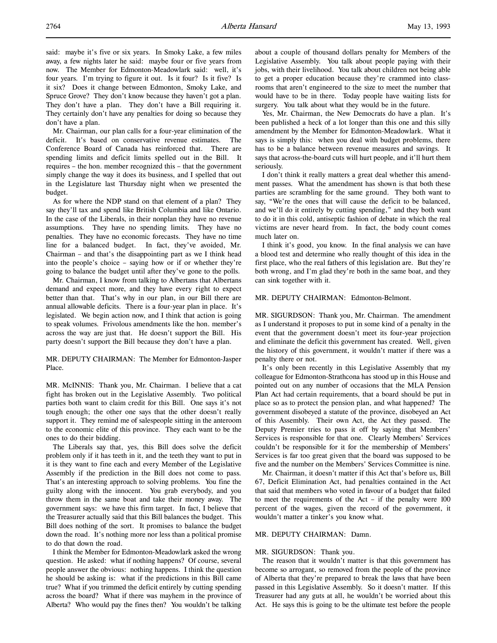said: maybe it's five or six years. In Smoky Lake, a few miles away, a few nights later he said: maybe four or five years from now. The Member for Edmonton-Meadowlark said: well, it's four years. I'm trying to figure it out. Is it four? Is it five? Is it six? Does it change between Edmonton, Smoky Lake, and Spruce Grove? They don't know because they haven't got a plan. They don't have a plan. They don't have a Bill requiring it. They certainly don't have any penalties for doing so because they don't have a plan.

Mr. Chairman, our plan calls for a four-year elimination of the deficit. It's based on conservative revenue estimates. The Conference Board of Canada has reinforced that. There are spending limits and deficit limits spelled out in the Bill. It requires – the hon. member recognized this – that the government simply change the way it does its business, and I spelled that out in the Legislature last Thursday night when we presented the budget.

As for where the NDP stand on that element of a plan? They say they'll tax and spend like British Columbia and like Ontario. In the case of the Liberals, in their nonplan they have no revenue assumptions. They have no spending limits. They have no penalties. They have no economic forecasts. They have no time line for a balanced budget. In fact, they've avoided, Mr. Chairman – and that's the disappointing part as we I think head into the people's choice – saying how or if or whether they're going to balance the budget until after they've gone to the polls.

Mr. Chairman, I know from talking to Albertans that Albertans demand and expect more, and they have every right to expect better than that. That's why in our plan, in our Bill there are annual allowable deficits. There is a four-year plan in place. It's legislated. We begin action now, and I think that action is going to speak volumes. Frivolous amendments like the hon. member's across the way are just that. He doesn't support the Bill. His party doesn't support the Bill because they don't have a plan.

## MR. DEPUTY CHAIRMAN: The Member for Edmonton-Jasper Place.

MR. McINNIS: Thank you, Mr. Chairman. I believe that a cat fight has broken out in the Legislative Assembly. Two political parties both want to claim credit for this Bill. One says it's not tough enough; the other one says that the other doesn't really support it. They remind me of salespeople sitting in the anteroom to the economic elite of this province. They each want to be the ones to do their bidding.

The Liberals say that, yes, this Bill does solve the deficit problem only if it has teeth in it, and the teeth they want to put in it is they want to fine each and every Member of the Legislative Assembly if the prediction in the Bill does not come to pass. That's an interesting approach to solving problems. You fine the guilty along with the innocent. You grab everybody, and you throw them in the same boat and take their money away. The government says: we have this firm target. In fact, I believe that the Treasurer actually said that this Bill balances the budget. This Bill does nothing of the sort. It promises to balance the budget down the road. It's nothing more nor less than a political promise to do that down the road.

I think the Member for Edmonton-Meadowlark asked the wrong question. He asked: what if nothing happens? Of course, several people answer the obvious: nothing happens. I think the question he should be asking is: what if the predictions in this Bill came true? What if you trimmed the deficit entirely by cutting spending across the board? What if there was mayhem in the province of Alberta? Who would pay the fines then? You wouldn't be talking

about a couple of thousand dollars penalty for Members of the Legislative Assembly. You talk about people paying with their jobs, with their livelihood. You talk about children not being able to get a proper education because they're crammed into classrooms that aren't engineered to the size to meet the number that would have to be in there. Today people have waiting lists for surgery. You talk about what they would be in the future.

Yes, Mr. Chairman, the New Democrats do have a plan. It's been published a heck of a lot longer than this one and this silly amendment by the Member for Edmonton-Meadowlark. What it says is simply this: when you deal with budget problems, there has to be a balance between revenue measures and savings. It says that across-the-board cuts will hurt people, and it'll hurt them seriously.

I don't think it really matters a great deal whether this amendment passes. What the amendment has shown is that both these parties are scrambling for the same ground. They both want to say, "We're the ones that will cause the deficit to be balanced, and we'll do it entirely by cutting spending," and they both want to do it in this cold, antiseptic fashion of debate in which the real victims are never heard from. In fact, the body count comes much later on.

I think it's good, you know. In the final analysis we can have a blood test and determine who really thought of this idea in the first place, who the real fathers of this legislation are. But they're both wrong, and I'm glad they're both in the same boat, and they can sink together with it.

#### MR. DEPUTY CHAIRMAN: Edmonton-Belmont.

MR. SIGURDSON: Thank you, Mr. Chairman. The amendment as I understand it proposes to put in some kind of a penalty in the event that the government doesn't meet its four-year projection and eliminate the deficit this government has created. Well, given the history of this government, it wouldn't matter if there was a penalty there or not.

It's only been recently in this Legislative Assembly that my colleague for Edmonton-Strathcona has stood up in this House and pointed out on any number of occasions that the MLA Pension Plan Act had certain requirements, that a board should be put in place so as to protect the pension plan, and what happened? The government disobeyed a statute of the province, disobeyed an Act of this Assembly. Their own Act, the Act they passed. The Deputy Premier tries to pass it off by saying that Members' Services is responsible for that one. Clearly Members' Services couldn't be responsible for it for the membership of Members' Services is far too great given that the board was supposed to be five and the number on the Members' Services Committee is nine.

Mr. Chairman, it doesn't matter if this Act that's before us, Bill 67, Deficit Elimination Act, had penalties contained in the Act that said that members who voted in favour of a budget that failed to meet the requirements of the Act – if the penalty were 100 percent of the wages, given the record of the government, it wouldn't matter a tinker's you know what.

# MR. DEPUTY CHAIRMAN: Damn.

#### MR. SIGURDSON: Thank you.

The reason that it wouldn't matter is that this government has become so arrogant, so removed from the people of the province of Alberta that they're prepared to break the laws that have been passed in this Legislative Assembly. So it doesn't matter. If this Treasurer had any guts at all, he wouldn't be worried about this Act. He says this is going to be the ultimate test before the people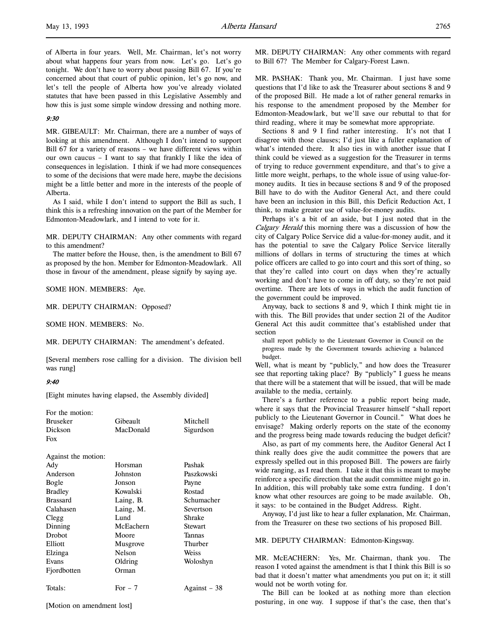# 9:30

MR. GIBEAULT: Mr. Chairman, there are a number of ways of looking at this amendment. Although I don't intend to support Bill 67 for a variety of reasons – we have different views within our own caucus – I want to say that frankly I like the idea of consequences in legislation. I think if we had more consequences to some of the decisions that were made here, maybe the decisions might be a little better and more in the interests of the people of Alberta.

As I said, while I don't intend to support the Bill as such, I think this is a refreshing innovation on the part of the Member for Edmonton-Meadowlark, and I intend to vote for it.

MR. DEPUTY CHAIRMAN: Any other comments with regard to this amendment?

The matter before the House, then, is the amendment to Bill 67 as proposed by the hon. Member for Edmonton-Meadowlark. All those in favour of the amendment, please signify by saying aye.

SOME HON. MEMBERS: Aye.

MR. DEPUTY CHAIRMAN: Opposed?

SOME HON. MEMBERS: No.

MR. DEPUTY CHAIRMAN: The amendment's defeated.

[Several members rose calling for a division. The division bell was rung]

# 9:40

[Eight minutes having elapsed, the Assembly divided]

| For the motion:     |           |              |
|---------------------|-----------|--------------|
| <b>Bruseker</b>     | Gibeault  | Mitchell     |
| Dickson             | MacDonald | Sigurdson    |
| Fox                 |           |              |
|                     |           |              |
| Against the motion: |           |              |
| Ady                 | Horsman   | Pashak       |
| Anderson            | Johnston  | Paszkowski   |
| Bogle               | Jonson    | Payne        |
| <b>Bradley</b>      | Kowalski  | Rostad       |
| <b>Brassard</b>     | Laing, B. | Schumacher   |
| Calahasen           | Laing, M. | Severtson    |
| Clegg               | Lund      | Shrake       |
| Dinning             | McEachern | Stewart      |
| Drobot              | Moore     | Tannas       |
| Elliott             | Musgrove  | Thurber      |
| Elzinga             | Nelson    | Weiss        |
| Evans               | Oldring   | Woloshyn     |
| Fjordbotten         | Orman     |              |
| Totals:             | For $-7$  | Against – 38 |
|                     |           |              |

[Motion on amendment lost]

MR. DEPUTY CHAIRMAN: Any other comments with regard to Bill 67? The Member for Calgary-Forest Lawn.

MR. PASHAK: Thank you, Mr. Chairman. I just have some questions that I'd like to ask the Treasurer about sections 8 and 9 of the proposed Bill. He made a lot of rather general remarks in his response to the amendment proposed by the Member for Edmonton-Meadowlark, but we'll save our rebuttal to that for third reading, where it may be somewhat more appropriate.

Sections 8 and 9 I find rather interesting. It's not that I disagree with those clauses; I'd just like a fuller explanation of what's intended there. It also ties in with another issue that I think could be viewed as a suggestion for the Treasurer in terms of trying to reduce government expenditure, and that's to give a little more weight, perhaps, to the whole issue of using value-formoney audits. It ties in because sections 8 and 9 of the proposed Bill have to do with the Auditor General Act, and there could have been an inclusion in this Bill, this Deficit Reduction Act, I think, to make greater use of value-for-money audits.

Perhaps it's a bit of an aside, but I just noted that in the Calgary Herald this morning there was a discussion of how the city of Calgary Police Service did a value-for-money audit, and it has the potential to save the Calgary Police Service literally millions of dollars in terms of structuring the times at which police officers are called to go into court and this sort of thing, so that they're called into court on days when they're actually working and don't have to come in off duty, so they're not paid overtime. There are lots of ways in which the audit function of the government could be improved.

Anyway, back to sections 8 and 9, which I think might tie in with this. The Bill provides that under section 21 of the Auditor General Act this audit committee that's established under that section

shall report publicly to the Lieutenant Governor in Council on the progress made by the Government towards achieving a balanced budget.

Well, what is meant by "publicly," and how does the Treasurer see that reporting taking place? By "publicly" I guess he means that there will be a statement that will be issued, that will be made available to the media, certainly.

There's a further reference to a public report being made, where it says that the Provincial Treasurer himself "shall report publicly to the Lieutenant Governor in Council." What does he envisage? Making orderly reports on the state of the economy and the progress being made towards reducing the budget deficit?

Also, as part of my comments here, the Auditor General Act I think really does give the audit committee the powers that are expressly spelled out in this proposed Bill. The powers are fairly wide ranging, as I read them. I take it that this is meant to maybe reinforce a specific direction that the audit committee might go in. In addition, this will probably take some extra funding. I don't know what other resources are going to be made available. Oh, it says: to be contained in the Budget Address. Right.

Anyway, I'd just like to hear a fuller explanation, Mr. Chairman, from the Treasurer on these two sections of his proposed Bill.

MR. DEPUTY CHAIRMAN: Edmonton-Kingsway.

MR. McEACHERN: Yes, Mr. Chairman, thank you. The reason I voted against the amendment is that I think this Bill is so bad that it doesn't matter what amendments you put on it; it still would not be worth voting for.

The Bill can be looked at as nothing more than election posturing, in one way. I suppose if that's the case, then that's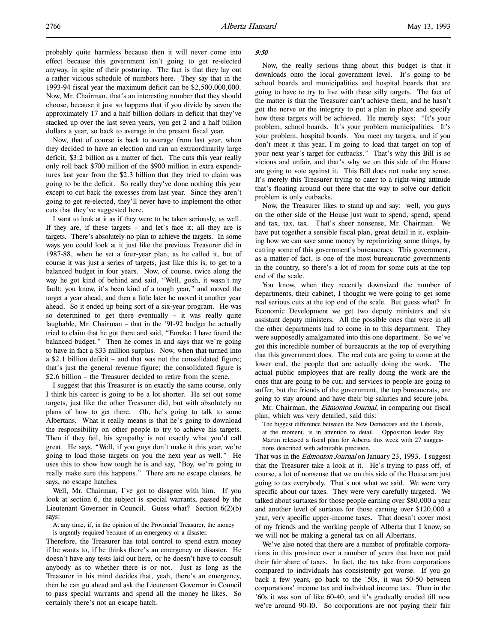probably quite harmless because then it will never come into effect because this government isn't going to get re-elected anyway, in spite of their posturing. The fact is that they lay out a rather vicious schedule of numbers here. They say that in the 1993-94 fiscal year the maximum deficit can be \$2,500,000,000. Now, Mr. Chairman, that's an interesting number that they should choose, because it just so happens that if you divide by seven the approximately 17 and a half billion dollars in deficit that they've stacked up over the last seven years, you get 2 and a half billion dollars a year, so back to average in the present fiscal year.

Now, that of course is back to average from last year, when they decided to have an election and ran an extraordinarily large deficit, \$3.2 billion as a matter of fact. The cuts this year really only roll back \$700 million of the \$900 million in extra expenditures last year from the \$2.3 billion that they tried to claim was going to be the deficit. So really they've done nothing this year except to cut back the excesses from last year. Since they aren't going to get re-elected, they'll never have to implement the other cuts that they've suggested here.

I want to look at it as if they were to be taken seriously, as well. If they are, if these targets – and let's face it; all they are is targets. There's absolutely no plan to achieve the targets. In some ways you could look at it just like the previous Treasurer did in 1987-88, when he set a four-year plan, as he called it, but of course it was just a series of targets, just like this is, to get to a balanced budget in four years. Now, of course, twice along the way he got kind of behind and said, "Well, gosh, it wasn't my fault; you know, it's been kind of a tough year," and moved the target a year ahead, and then a little later he moved it another year ahead. So it ended up being sort of a six-year program. He was so determined to get there eventually – it was really quite laughable, Mr. Chairman – that in the '91-92 budget he actually tried to claim that he got there and said, "Eureka; I have found the balanced budget." Then he comes in and says that we're going to have in fact a \$33 million surplus. Now, when that turned into a \$2.1 billion deficit – and that was not the consolidated figure; that's just the general revenue figure; the consolidated figure is \$2.6 billion – the Treasurer decided to retire from the scene.

I suggest that this Treasurer is on exactly the same course, only I think his career is going to be a lot shorter. He set out some targets, just like the other Treasurer did, but with absolutely no plans of how to get there. Oh, he's going to talk to some Albertans. What it really means is that he's going to download the responsibility on other people to try to achieve his targets. Then if they fail, his sympathy is not exactly what you'd call great. He says, "Well, if you guys don't make it this year, we're going to load those targets on you the next year as well." He uses this to show how tough he is and say, "Boy, we're going to really make sure this happens." There are no escape clauses, he says, no escape hatches.

Well, Mr. Chairman, I've got to disagree with him. If you look at section 6, the subject is special warrants, passed by the Lieutenant Governor in Council. Guess what? Section 6(2)(b) says:

At any time, if, in the opinion of the Provincial Treasurer, the money is urgently required because of an emergency or a disaster.

Therefore, the Treasurer has total control to spend extra money if he wants to, if he thinks there's an emergency or disaster. He doesn't have any tests laid out here, or he doesn't have to consult anybody as to whether there is or not. Just as long as the Treasurer in his mind decides that, yeah, there's an emergency, then he can go ahead and ask the Lieutenant Governor in Council to pass special warrants and spend all the money he likes. So certainly there's not an escape hatch.

#### 9:50

Now, the really serious thing about this budget is that it downloads onto the local government level. It's going to be school boards and municipalities and hospital boards that are going to have to try to live with these silly targets. The fact of the matter is that the Treasurer can't achieve them, and he hasn't got the nerve or the integrity to put a plan in place and specify how these targets will be achieved. He merely says: "It's your problem, school boards. It's your problem municipalities. It's your problem, hospital boards. You meet my targets, and if you don't meet it this year, I'm going to load that target on top of your next year's target for cutbacks." That's why this Bill is so vicious and unfair, and that's why we on this side of the House are going to vote against it. This Bill does not make any sense. It's merely this Treasurer trying to cater to a right-wing attitude that's floating around out there that the way to solve our deficit problem is only cutbacks.

Now, the Treasurer likes to stand up and say: well, you guys on the other side of the House just want to spend, spend, spend and tax, tax, tax. That's sheer nonsense, Mr. Chairman. We have put together a sensible fiscal plan, great detail in it, explaining how we can save some money by repriorizing some things, by cutting some of this government's bureaucracy. This government, as a matter of fact, is one of the most bureaucratic governments in the country, so there's a lot of room for some cuts at the top end of the scale.

You know, when they recently downsized the number of departments, their cabinet, I thought we were going to get some real serious cuts at the top end of the scale. But guess what? In Economic Development we get two deputy ministers and six assistant deputy ministers. All the possible ones that were in all the other departments had to come in to this department. They were supposedly amalgamated into this one department. So we've got this incredible number of bureaucrats at the top of everything that this government does. The real cuts are going to come at the lower end, the people that are actually doing the work. The actual public employees that are really doing the work are the ones that are going to be cut, and services to people are going to suffer, but the friends of the government, the top bureaucrats, are going to stay around and have their big salaries and secure jobs.

Mr. Chairman, the *Edmonton Journal*, in comparing our fiscal plan, which was very detailed, said this:

The biggest difference between the New Democrats and the Liberals, at the moment, is in attention to detail. Opposition leader Ray Martin released a fiscal plan for Alberta this week with 27 suggestions described with admirable precision.

That was in the *Edmonton Journal* on January 23, 1993. I suggest that the Treasurer take a look at it. He's trying to pass off, of course, a lot of nonsense that we on this side of the House are just going to tax everybody. That's not what we said. We were very specific about our taxes. They were very carefully targeted. We talked about surtaxes for those people earning over \$80,000 a year and another level of surtaxes for those earning over \$120,000 a year, very specific upper-income taxes. That doesn't cover most of my friends and the working people of Alberta that I know, so we will not be making a general tax on all Albertans.

We've also noted that there are a number of profitable corporations in this province over a number of years that have not paid their fair share of taxes. In fact, the tax take from corporations compared to individuals has consistently got worse. If you go back a few years, go back to the '50s, it was 50-50 between corporations' income tax and individual income tax. Then in the '60s it was sort of like 60-40, and it's gradually eroded till now we're around 90-10. So corporations are not paying their fair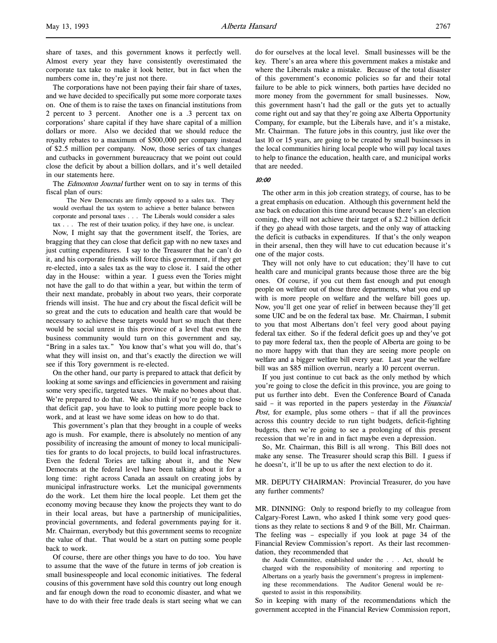share of taxes, and this government knows it perfectly well. Almost every year they have consistently overestimated the corporate tax take to make it look better, but in fact when the numbers come in, they're just not there.

The corporations have not been paying their fair share of taxes, and we have decided to specifically put some more corporate taxes on. One of them is to raise the taxes on financial institutions from 2 percent to 3 percent. Another one is a .3 percent tax on corporations' share capital if they have share capital of a million dollars or more. Also we decided that we should reduce the royalty rebates to a maximum of \$500,000 per company instead of \$2.5 million per company. Now, those series of tax changes and cutbacks in government bureaucracy that we point out could close the deficit by about a billion dollars, and it's well detailed in our statements here.

The Edmonton Journal further went on to say in terms of this fiscal plan of ours:

The New Democrats are firmly opposed to a sales tax. They would overhaul the tax system to achieve a better balance between corporate and personal taxes . . . The Liberals would consider a sales tax . . . The rest of their taxation policy, if they have one, is unclear.

Now, I might say that the government itself, the Tories, are bragging that they can close that deficit gap with no new taxes and just cutting expenditures. I say to the Treasurer that he can't do it, and his corporate friends will force this government, if they get re-elected, into a sales tax as the way to close it. I said the other day in the House: within a year. I guess even the Tories might not have the gall to do that within a year, but within the term of their next mandate, probably in about two years, their corporate friends will insist. The hue and cry about the fiscal deficit will be so great and the cuts to education and health care that would be necessary to achieve these targets would hurt so much that there would be social unrest in this province of a level that even the business community would turn on this government and say, "Bring in a sales tax." You know that's what you will do, that's what they will insist on, and that's exactly the direction we will see if this Tory government is re-elected.

On the other hand, our party is prepared to attack that deficit by looking at some savings and efficiencies in government and raising some very specific, targeted taxes. We make no bones about that. We're prepared to do that. We also think if you're going to close that deficit gap, you have to look to putting more people back to work, and at least we have some ideas on how to do that.

This government's plan that they brought in a couple of weeks ago is mush. For example, there is absolutely no mention of any possibility of increasing the amount of money to local municipalities for grants to do local projects, to build local infrastructures. Even the federal Tories are talking about it, and the New Democrats at the federal level have been talking about it for a long time: right across Canada an assault on creating jobs by municipal infrastructure works. Let the municipal governments do the work. Let them hire the local people. Let them get the economy moving because they know the projects they want to do in their local areas, but have a partnership of municipalities, provincial governments, and federal governments paying for it. Mr. Chairman, everybody but this government seems to recognize the value of that. That would be a start on putting some people back to work.

Of course, there are other things you have to do too. You have to assume that the wave of the future in terms of job creation is small businesspeople and local economic initiatives. The federal cousins of this government have sold this country out long enough and far enough down the road to economic disaster, and what we have to do with their free trade deals is start seeing what we can

do for ourselves at the local level. Small businesses will be the key. There's an area where this government makes a mistake and where the Liberals make a mistake. Because of the total disaster of this government's economic policies so far and their total failure to be able to pick winners, both parties have decided no more money from the government for small businesses. Now, this government hasn't had the gall or the guts yet to actually come right out and say that they're going axe Alberta Opportunity Company, for example, but the Liberals have, and it's a mistake, Mr. Chairman. The future jobs in this country, just like over the last 10 or 15 years, are going to be created by small businesses in the local communities hiring local people who will pay local taxes to help to finance the education, health care, and municipal works that are needed.

10:00

The other arm in this job creation strategy, of course, has to be a great emphasis on education. Although this government held the axe back on education this time around because there's an election coming, they will not achieve their target of a \$2.2 billion deficit if they go ahead with those targets, and the only way of attacking the deficit is cutbacks in expenditures. If that's the only weapon in their arsenal, then they will have to cut education because it's one of the major costs.

They will not only have to cut education; they'll have to cut health care and municipal grants because those three are the big ones. Of course, if you cut them fast enough and put enough people on welfare out of those three departments, what you end up with is more people on welfare and the welfare bill goes up. Now, you'll get one year of relief in between because they'll get some UIC and be on the federal tax base. Mr. Chairman, I submit to you that most Albertans don't feel very good about paying federal tax either. So if the federal deficit goes up and they've got to pay more federal tax, then the people of Alberta are going to be no more happy with that than they are seeing more people on welfare and a bigger welfare bill every year. Last year the welfare bill was an \$85 million overrun, nearly a 10 percent overrun.

If you just continue to cut back as the only method by which you're going to close the deficit in this province, you are going to put us further into debt. Even the Conference Board of Canada said – it was reported in the papers yesterday in the Financial Post, for example, plus some others - that if all the provinces across this country decide to run tight budgets, deficit-fighting budgets, then we're going to see a prolonging of this present recession that we're in and in fact maybe even a depression.

So, Mr. Chairman, this Bill is all wrong. This Bill does not make any sense. The Treasurer should scrap this Bill. I guess if he doesn't, it'll be up to us after the next election to do it.

MR. DEPUTY CHAIRMAN: Provincial Treasurer, do you have any further comments?

MR. DINNING: Only to respond briefly to my colleague from Calgary-Forest Lawn, who asked I think some very good questions as they relate to sections 8 and 9 of the Bill, Mr. Chairman. The feeling was – especially if you look at page 34 of the Financial Review Commission's report. As their last recommendation, they recommended that

the Audit Committee, established under the . . . Act, should be charged with the responsibility of monitoring and reporting to Albertans on a yearly basis the government's progress in implementing these recommendations. The Auditor General would be requested to assist in this responsibility.

So in keeping with many of the recommendations which the government accepted in the Financial Review Commission report,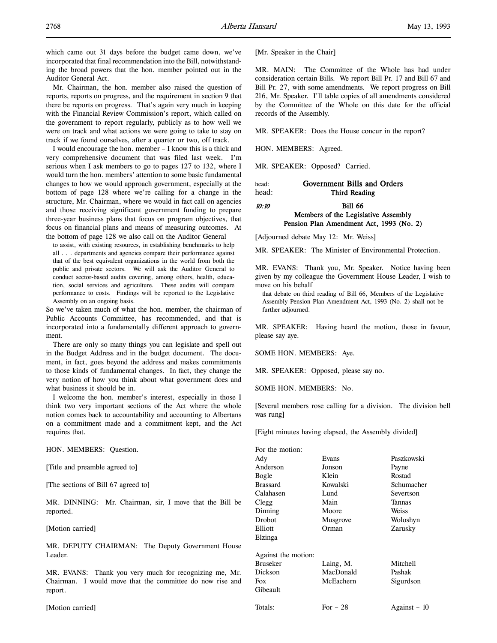which came out 31 days before the budget came down, we've incorporated that final recommendation into the Bill, notwithstanding the broad powers that the hon. member pointed out in the Auditor General Act.

Mr. Chairman, the hon. member also raised the question of reports, reports on progress, and the requirement in section 9 that there be reports on progress. That's again very much in keeping with the Financial Review Commission's report, which called on the government to report regularly, publicly as to how well we were on track and what actions we were going to take to stay on track if we found ourselves, after a quarter or two, off track.

I would encourage the hon. member – I know this is a thick and very comprehensive document that was filed last week. I'm serious when I ask members to go to pages 127 to 132, where I would turn the hon. members' attention to some basic fundamental changes to how we would approach government, especially at the bottom of page 128 where we're calling for a change in the structure, Mr. Chairman, where we would in fact call on agencies and those receiving significant government funding to prepare three-year business plans that focus on program objectives, that focus on financial plans and means of measuring outcomes. At the bottom of page 128 we also call on the Auditor General

to assist, with existing resources, in establishing benchmarks to help all . . . departments and agencies compare their performance against that of the best equivalent organizations in the world from both the public and private sectors. We will ask the Auditor General to conduct sector-based audits covering, among others, health, education, social services and agriculture. These audits will compare performance to costs. Findings will be reported to the Legislative Assembly on an ongoing basis.

So we've taken much of what the hon. member, the chairman of Public Accounts Committee, has recommended, and that is incorporated into a fundamentally different approach to government.

There are only so many things you can legislate and spell out in the Budget Address and in the budget document. The document, in fact, goes beyond the address and makes commitments to those kinds of fundamental changes. In fact, they change the very notion of how you think about what government does and what business it should be in.

I welcome the hon. member's interest, especially in those I think two very important sections of the Act where the whole notion comes back to accountability and accounting to Albertans on a commitment made and a commitment kept, and the Act requires that.

HON. MEMBERS: Question.

[Title and preamble agreed to]

[The sections of Bill 67 agreed to]

MR. DINNING: Mr. Chairman, sir, I move that the Bill be reported.

[Motion carried]

MR. DEPUTY CHAIRMAN: The Deputy Government House Leader.

MR. EVANS: Thank you very much for recognizing me, Mr. Chairman. I would move that the committee do now rise and report.

[Motion carried]

[Mr. Speaker in the Chair]

MR. MAIN: The Committee of the Whole has had under consideration certain Bills. We report Bill Pr. 17 and Bill 67 and Bill Pr. 27, with some amendments. We report progress on Bill 216, Mr. Speaker. I'll table copies of all amendments considered by the Committee of the Whole on this date for the official records of the Assembly.

MR. SPEAKER: Does the House concur in the report?

HON. MEMBERS: Agreed.

MR. SPEAKER: Opposed? Carried.

# head: Government Bills and Orders head: Third Reading 10:10 **Bill 66**

# Members of the Legislative Assembly Pension Plan Amendment Act, 1993 (No. 2)

[Adjourned debate May 12: Mr. Weiss]

MR. SPEAKER: The Minister of Environmental Protection.

MR. EVANS: Thank you, Mr. Speaker. Notice having been given by my colleague the Government House Leader, I wish to move on his behalf

that debate on third reading of Bill 66, Members of the Legislative Assembly Pension Plan Amendment Act, 1993 (No. 2) shall not be further adjourned.

MR. SPEAKER: Having heard the motion, those in favour, please say aye.

SOME HON. MEMBERS: Aye.

MR. SPEAKER: Opposed, please say no.

SOME HON. MEMBERS: No.

[Several members rose calling for a division. The division bell was rung]

[Eight minutes having elapsed, the Assembly divided]

| For the motion:     |           |              |
|---------------------|-----------|--------------|
| Ady                 | Evans     | Paszkowski   |
| Anderson            | Jonson    | Payne        |
| Bogle               | Klein     | Rostad       |
| <b>Brassard</b>     | Kowalski  | Schumacher   |
| Calahasen           | Lund      | Severtson    |
| Clegg               | Main      | Tannas       |
| Dinning             | Moore     | Weiss        |
| Drobot              | Musgrove  | Woloshyn     |
| Elliott             | Orman     | Zarusky      |
| Elzinga             |           |              |
| Against the motion: |           |              |
| Bruseker            | Laing, M. | Mitchell     |
| Dickson             | MacDonald | Pashak       |
| Fox                 | McEachern | Sigurdson    |
| Gibeault            |           |              |
| Totals:             | For $-28$ | Against – 10 |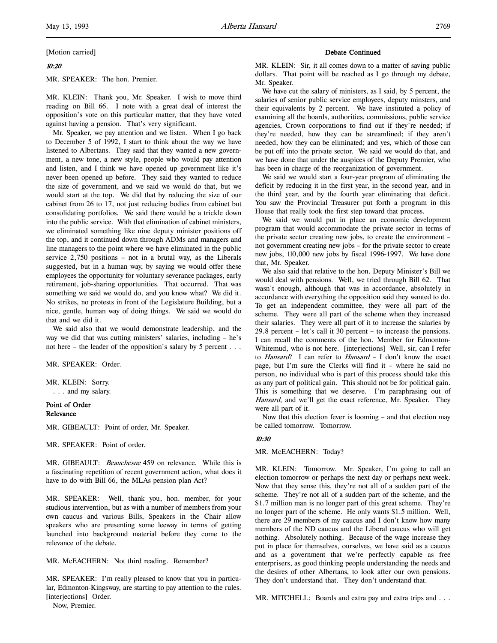[Motion carried]

## 10:20

MR. SPEAKER: The hon. Premier.

MR. KLEIN: Thank you, Mr. Speaker. I wish to move third reading on Bill 66. I note with a great deal of interest the opposition's vote on this particular matter, that they have voted against having a pension. That's very significant.

Mr. Speaker, we pay attention and we listen. When I go back to December 5 of 1992, I start to think about the way we have listened to Albertans. They said that they wanted a new government, a new tone, a new style, people who would pay attention and listen, and I think we have opened up government like it's never been opened up before. They said they wanted to reduce the size of government, and we said we would do that, but we would start at the top. We did that by reducing the size of our cabinet from 26 to 17, not just reducing bodies from cabinet but consolidating portfolios. We said there would be a trickle down into the public service. With that elimination of cabinet ministers, we eliminated something like nine deputy minister positions off the top, and it continued down through ADMs and managers and line managers to the point where we have eliminated in the public service 2,750 positions – not in a brutal way, as the Liberals suggested, but in a human way, by saying we would offer these employees the opportunity for voluntary severance packages, early retirement, job-sharing opportunities. That occurred. That was something we said we would do, and you know what? We did it. No strikes, no protests in front of the Legislature Building, but a nice, gentle, human way of doing things. We said we would do that and we did it.

We said also that we would demonstrate leadership, and the way we did that was cutting ministers' salaries, including – he's not here – the leader of the opposition's salary by 5 percent . . .

MR. SPEAKER: Order.

MR. KLEIN: Sorry. . . . and my salary.

# Point of Order Relevance

MR. GIBEAULT: Point of order, Mr. Speaker.

MR. SPEAKER: Point of order.

MR. GIBEAULT: *Beauchesne* 459 on relevance. While this is a fascinating repetition of recent government action, what does it have to do with Bill 66, the MLAs pension plan Act?

MR. SPEAKER: Well, thank you, hon. member, for your studious intervention, but as with a number of members from your own caucus and various Bills, Speakers in the Chair allow speakers who are presenting some leeway in terms of getting launched into background material before they come to the relevance of the debate.

MR. McEACHERN: Not third reading. Remember?

MR. SPEAKER: I'm really pleased to know that you in particular, Edmonton-Kingsway, are starting to pay attention to the rules. [interjections] Order.

Now, Premier.

# Debate Continued

MR. KLEIN: Sir, it all comes down to a matter of saving public dollars. That point will be reached as I go through my debate, Mr. Speaker.

We have cut the salary of ministers, as I said, by 5 percent, the salaries of senior public service employees, deputy minsters, and their equivalents by 2 percent. We have instituted a policy of examining all the boards, authorities, commissions, public service agencies, Crown corporations to find out if they're needed; if they're needed, how they can be streamlined; if they aren't needed, how they can be eliminated; and yes, which of those can be put off into the private sector. We said we would do that, and we have done that under the auspices of the Deputy Premier, who has been in charge of the reorganization of government.

We said we would start a four-year program of eliminating the deficit by reducing it in the first year, in the second year, and in the third year, and by the fourth year eliminating that deficit. You saw the Provincial Treasurer put forth a program in this House that really took the first step toward that process.

We said we would put in place an economic development program that would accommodate the private sector in terms of the private sector creating new jobs, to create the environment – not government creating new jobs – for the private sector to create new jobs, 110,000 new jobs by fiscal 1996-1997. We have done that, Mr. Speaker.

We also said that relative to the hon. Deputy Minister's Bill we would deal with pensions. Well, we tried through Bill 62. That wasn't enough, although that was in accordance, absolutely in accordance with everything the opposition said they wanted to do. To get an independent committee, they were all part of the scheme. They were all part of the scheme when they increased their salaries. They were all part of it to increase the salaries by 29.8 percent – let's call it 30 percent – to increase the pensions. I can recall the comments of the hon. Member for Edmonton-Whitemud, who is not here. [interjections] Well, sir, can I refer to Hansard? I can refer to Hansard - I don't know the exact page, but I'm sure the Clerks will find it – where he said no person, no individual who is part of this process should take this as any part of political gain. This should not be for political gain. This is something that we deserve. I'm paraphrasing out of Hansard, and we'll get the exact reference, Mr. Speaker. They were all part of it.

Now that this election fever is looming – and that election may be called tomorrow. Tomorrow.

#### 10:30

MR. McEACHERN: Today?

MR. KLEIN: Tomorrow. Mr. Speaker, I'm going to call an election tomorrow or perhaps the next day or perhaps next week. Now that they sense this, they're not all of a sudden part of the scheme. They're not all of a sudden part of the scheme, and the \$1.7 million man is no longer part of this great scheme. They're no longer part of the scheme. He only wants \$1.5 million. Well, there are 29 members of my caucus and I don't know how many members of the ND caucus and the Liberal caucus who will get nothing. Absolutely nothing. Because of the wage increase they put in place for themselves, ourselves, we have said as a caucus and as a government that we're perfectly capable as free enterprisers, as good thinking people understanding the needs and the desires of other Albertans, to look after our own pensions. They don't understand that. They don't understand that.

MR. MITCHELL: Boards and extra pay and extra trips and . . .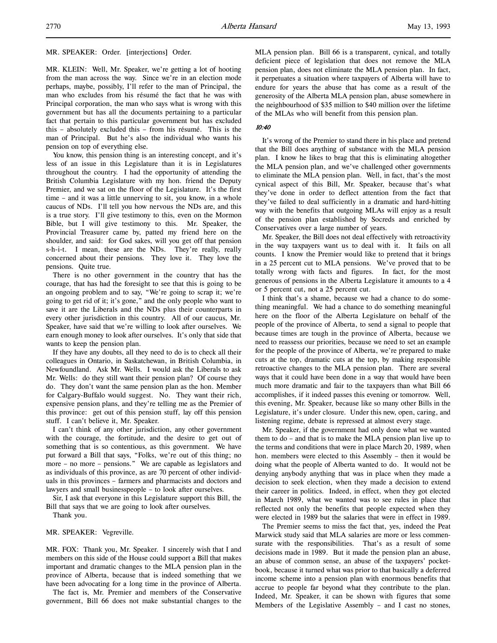MR. SPEAKER: Order. [interjections] Order.

MR. KLEIN: Well, Mr. Speaker, we're getting a lot of hooting from the man across the way. Since we're in an election mode perhaps, maybe, possibly, I'll refer to the man of Principal, the man who excludes from his résumé the fact that he was with Principal corporation, the man who says what is wrong with this government but has all the documents pertaining to a particular fact that pertain to this particular government but has excluded this – absolutely excluded this – from his résumé. This is the man of Principal. But he's also the individual who wants his pension on top of everything else.

You know, this pension thing is an interesting concept, and it's less of an issue in this Legislature than it is in Legislatures throughout the country. I had the opportunity of attending the British Columbia Legislature with my hon. friend the Deputy Premier, and we sat on the floor of the Legislature. It's the first time – and it was a little unnerving to sit, you know, in a whole caucus of NDs. I'll tell you how nervous the NDs are, and this is a true story. I'll give testimony to this, even on the Mormon Bible, but I will give testimony to this. Mr. Speaker, the Provincial Treasurer came by, patted my friend here on the shoulder, and said: for God sakes, will you get off that pension s-h-i-t. I mean, these are the NDs. They're really, really concerned about their pensions. They love it. They love the pensions. Quite true.

There is no other government in the country that has the courage, that has had the foresight to see that this is going to be an ongoing problem and to say, "We're going to scrap it; we're going to get rid of it; it's gone," and the only people who want to save it are the Liberals and the NDs plus their counterparts in every other jurisdiction in this country. All of our caucus, Mr. Speaker, have said that we're willing to look after ourselves. We earn enough money to look after ourselves. It's only that side that wants to keep the pension plan.

If they have any doubts, all they need to do is to check all their colleagues in Ontario, in Saskatchewan, in British Columbia, in Newfoundland. Ask Mr. Wells. I would ask the Liberals to ask Mr. Wells: do they still want their pension plan? Of course they do. They don't want the same pension plan as the hon. Member for Calgary-Buffalo would suggest. No. They want their rich, expensive pension plans, and they're telling me as the Premier of this province: get out of this pension stuff, lay off this pension stuff. I can't believe it, Mr. Speaker.

I can't think of any other jurisdiction, any other government with the courage, the fortitude, and the desire to get out of something that is so contentious, as this government. We have put forward a Bill that says, "Folks, we're out of this thing; no more – no more – pensions." We are capable as legislators and as individuals of this province, as are 70 percent of other individuals in this provinces – farmers and pharmacists and doctors and lawyers and small businesspeople – to look after ourselves.

Sir, I ask that everyone in this Legislature support this Bill, the Bill that says that we are going to look after ourselves. Thank you.

MR. SPEAKER: Vegreville.

MR. FOX: Thank you, Mr. Speaker. I sincerely wish that I and members on this side of the House could support a Bill that makes important and dramatic changes to the MLA pension plan in the province of Alberta, because that is indeed something that we have been advocating for a long time in the province of Alberta.

The fact is, Mr. Premier and members of the Conservative government, Bill 66 does not make substantial changes to the MLA pension plan. Bill 66 is a transparent, cynical, and totally deficient piece of legislation that does not remove the MLA pension plan, does not eliminate the MLA pension plan. In fact, it perpetuates a situation where taxpayers of Alberta will have to endure for years the abuse that has come as a result of the generosity of the Alberta MLA pension plan, abuse somewhere in the neighbourhood of \$35 million to \$40 million over the lifetime of the MLAs who will benefit from this pension plan.

# 10:40

It's wrong of the Premier to stand there in his place and pretend that the Bill does anything of substance with the MLA pension plan. I know he likes to brag that this is eliminating altogether the MLA pension plan, and we've challenged other governments to eliminate the MLA pension plan. Well, in fact, that's the most cynical aspect of this Bill, Mr. Speaker, because that's what they've done in order to deflect attention from the fact that they've failed to deal sufficiently in a dramatic and hard-hitting way with the benefits that outgoing MLAs will enjoy as a result of the pension plan established by Socreds and enriched by Conservatives over a large number of years.

Mr. Speaker, the Bill does not deal effectively with retroactivity in the way taxpayers want us to deal with it. It fails on all counts. I know the Premier would like to pretend that it brings in a 25 percent cut to MLA pensions. We've proved that to be totally wrong with facts and figures. In fact, for the most generous of pensions in the Alberta Legislature it amounts to a 4 or 5 percent cut, not a 25 percent cut.

I think that's a shame, because we had a chance to do something meaningful. We had a chance to do something meaningful here on the floor of the Alberta Legislature on behalf of the people of the province of Alberta, to send a signal to people that because times are tough in the province of Alberta, because we need to reassess our priorities, because we need to set an example for the people of the province of Alberta, we're prepared to make cuts at the top, dramatic cuts at the top, by making responsible retroactive changes to the MLA pension plan. There are several ways that it could have been done in a way that would have been much more dramatic and fair to the taxpayers than what Bill 66 accomplishes, if it indeed passes this evening or tomorrow. Well, this evening, Mr. Speaker, because like so many other Bills in the Legislature, it's under closure. Under this new, open, caring, and listening regime, debate is repressed at almost every stage.

Mr. Speaker, if the government had only done what we wanted them to do – and that is to make the MLA pension plan live up to the terms and conditions that were in place March 20, 1989, when hon. members were elected to this Assembly – then it would be doing what the people of Alberta wanted to do. It would not be denying anybody anything that was in place when they made a decision to seek election, when they made a decision to extend their career in politics. Indeed, in effect, when they got elected in March 1989, what we wanted was to see rules in place that reflected not only the benefits that people expected when they were elected in 1989 but the salaries that were in effect in 1989.

The Premier seems to miss the fact that, yes, indeed the Peat Marwick study said that MLA salaries are more or less commensurate with the responsibilities. That's as a result of some decisions made in 1989. But it made the pension plan an abuse, an abuse of common sense, an abuse of the taxpayers' pocketbook, because it turned what was prior to that basically a deferred income scheme into a pension plan with enormous benefits that accrue to people far beyond what they contribute to the plan. Indeed, Mr. Speaker, it can be shown with figures that some Members of the Legislative Assembly – and I cast no stones,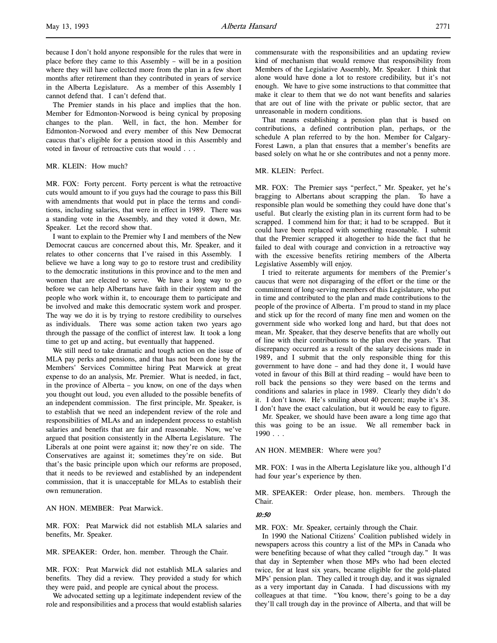because I don't hold anyone responsible for the rules that were in place before they came to this Assembly – will be in a position where they will have collected more from the plan in a few short months after retirement than they contributed in years of service in the Alberta Legislature. As a member of this Assembly I cannot defend that. I can't defend that.

The Premier stands in his place and implies that the hon. Member for Edmonton-Norwood is being cynical by proposing changes to the plan. Well, in fact, the hon. Member for Edmonton-Norwood and every member of this New Democrat caucus that's eligible for a pension stood in this Assembly and voted in favour of retroactive cuts that would . . .

MR. KLEIN: How much?

MR. FOX: Forty percent. Forty percent is what the retroactive cuts would amount to if you guys had the courage to pass this Bill with amendments that would put in place the terms and conditions, including salaries, that were in effect in 1989. There was a standing vote in the Assembly, and they voted it down, Mr. Speaker. Let the record show that.

I want to explain to the Premier why I and members of the New Democrat caucus are concerned about this, Mr. Speaker, and it relates to other concerns that I've raised in this Assembly. I believe we have a long way to go to restore trust and credibility to the democratic institutions in this province and to the men and women that are elected to serve. We have a long way to go before we can help Albertans have faith in their system and the people who work within it, to encourage them to participate and be involved and make this democratic system work and prosper. The way we do it is by trying to restore credibility to ourselves as individuals. There was some action taken two years ago through the passage of the conflict of interest law. It took a long time to get up and acting, but eventually that happened.

We still need to take dramatic and tough action on the issue of MLA pay perks and pensions, and that has not been done by the Members' Services Committee hiring Peat Marwick at great expense to do an analysis, Mr. Premier. What is needed, in fact, in the province of Alberta – you know, on one of the days when you thought out loud, you even alluded to the possible benefits of an independent commission. The first principle, Mr. Speaker, is to establish that we need an independent review of the role and responsibilities of MLAs and an independent process to establish salaries and benefits that are fair and reasonable. Now, we've argued that position consistently in the Alberta Legislature. The Liberals at one point were against it; now they're on side. The Conservatives are against it; sometimes they're on side. But that's the basic principle upon which our reforms are proposed, that it needs to be reviewed and established by an independent commission, that it is unacceptable for MLAs to establish their own remuneration.

AN HON. MEMBER: Peat Marwick.

MR. FOX: Peat Marwick did not establish MLA salaries and benefits, Mr. Speaker.

MR. SPEAKER: Order, hon. member. Through the Chair.

MR. FOX: Peat Marwick did not establish MLA salaries and benefits. They did a review. They provided a study for which they were paid, and people are cynical about the process.

We advocated setting up a legitimate independent review of the role and responsibilities and a process that would establish salaries commensurate with the responsibilities and an updating review kind of mechanism that would remove that responsibility from Members of the Legislative Assembly, Mr. Speaker. I think that alone would have done a lot to restore credibility, but it's not enough. We have to give some instructions to that committee that make it clear to them that we do not want benefits and salaries that are out of line with the private or public sector, that are unreasonable in modern conditions.

That means establishing a pension plan that is based on contributions, a defined contribution plan, perhaps, or the schedule A plan referred to by the hon. Member for Calgary-Forest Lawn, a plan that ensures that a member's benefits are based solely on what he or she contributes and not a penny more.

MR. KLEIN: Perfect.

MR. FOX: The Premier says "perfect," Mr. Speaker, yet he's bragging to Albertans about scrapping the plan. To have a responsible plan would be something they could have done that's useful. But clearly the existing plan in its current form had to be scrapped. I commend him for that; it had to be scrapped. But it could have been replaced with something reasonable. I submit that the Premier scrapped it altogether to hide the fact that he failed to deal with courage and conviction in a retroactive way with the excessive benefits retiring members of the Alberta Legislative Assembly will enjoy.

I tried to reiterate arguments for members of the Premier's caucus that were not disparaging of the effort or the time or the commitment of long-serving members of this Legislature, who put in time and contributed to the plan and made contributions to the people of the province of Alberta. I'm proud to stand in my place and stick up for the record of many fine men and women on the government side who worked long and hard, but that does not mean, Mr. Speaker, that they deserve benefits that are wholly out of line with their contributions to the plan over the years. That discrepancy occurred as a result of the salary decisions made in 1989, and I submit that the only responsible thing for this government to have done – and had they done it, I would have voted in favour of this Bill at third reading – would have been to roll back the pensions so they were based on the terms and conditions and salaries in place in 1989. Clearly they didn't do it. I don't know. He's smiling about 40 percent; maybe it's 38. I don't have the exact calculation, but it would be easy to figure.

Mr. Speaker, we should have been aware a long time ago that this was going to be an issue. We all remember back in  $1990...$ 

AN HON. MEMBER: Where were you?

MR. FOX: I was in the Alberta Legislature like you, although I'd had four year's experience by then.

MR. SPEAKER: Order please, hon. members. Through the Chair.

#### 10:50

MR. FOX: Mr. Speaker, certainly through the Chair.

In 1990 the National Citizens' Coalition published widely in newspapers across this country a list of the MPs in Canada who were benefiting because of what they called "trough day." It was that day in September when those MPs who had been elected twice, for at least six years, became eligible for the gold-plated MPs' pension plan. They called it trough day, and it was signaled as a very important day in Canada. I had discussions with my colleagues at that time. "You know, there's going to be a day they'll call trough day in the province of Alberta, and that will be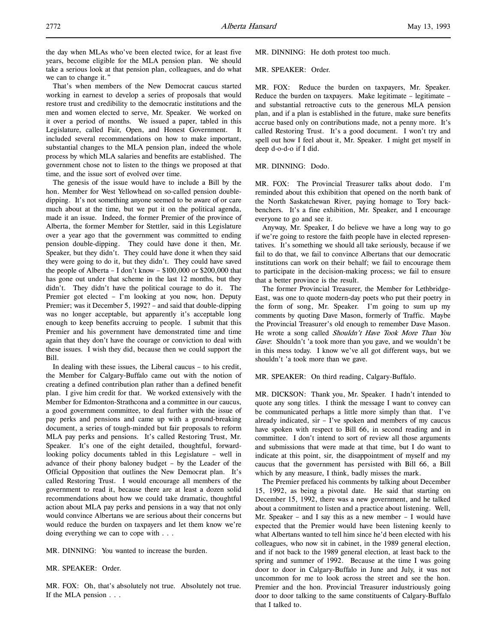That's when members of the New Democrat caucus started working in earnest to develop a series of proposals that would restore trust and credibility to the democratic institutions and the men and women elected to serve, Mr. Speaker. We worked on it over a period of months. We issued a paper, tabled in this Legislature, called Fair, Open, and Honest Government. It included several recommendations on how to make important, substantial changes to the MLA pension plan, indeed the whole process by which MLA salaries and benefits are established. The government chose not to listen to the things we proposed at that time, and the issue sort of evolved over time.

The genesis of the issue would have to include a Bill by the hon. Member for West Yellowhead on so-called pension doubledipping. It's not something anyone seemed to be aware of or care much about at the time, but we put it on the political agenda, made it an issue. Indeed, the former Premier of the province of Alberta, the former Member for Stettler, said in this Legislature over a year ago that the government was committed to ending pension double-dipping. They could have done it then, Mr. Speaker, but they didn't. They could have done it when they said they were going to do it, but they didn't. They could have saved the people of Alberta – I don't know – \$100,000 or \$200,000 that has gone out under that scheme in the last 12 months, but they didn't. They didn't have the political courage to do it. The Premier got elected – I'm looking at you now, hon. Deputy Premier; was it December 5, 1992? – and said that double-dipping was no longer acceptable, but apparently it's acceptable long enough to keep benefits accruing to people. I submit that this Premier and his government have demonstrated time and time again that they don't have the courage or conviction to deal with these issues. I wish they did, because then we could support the Bill.

In dealing with these issues, the Liberal caucus – to his credit, the Member for Calgary-Buffalo came out with the notion of creating a defined contribution plan rather than a defined benefit plan. I give him credit for that. We worked extensively with the Member for Edmonton-Strathcona and a committee in our caucus, a good government committee, to deal further with the issue of pay perks and pensions and came up with a ground-breaking document, a series of tough-minded but fair proposals to reform MLA pay perks and pensions. It's called Restoring Trust, Mr. Speaker. It's one of the eight detailed, thoughtful, forwardlooking policy documents tabled in this Legislature – well in advance of their phony baloney budget – by the Leader of the Official Opposition that outlines the New Democrat plan. It's called Restoring Trust. I would encourage all members of the government to read it, because there are at least a dozen solid recommendations about how we could take dramatic, thoughtful action about MLA pay perks and pensions in a way that not only would convince Albertans we are serious about their concerns but would reduce the burden on taxpayers and let them know we're doing everything we can to cope with . . .

MR. DINNING: You wanted to increase the burden.

MR. SPEAKER: Order.

MR. FOX: Oh, that's absolutely not true. Absolutely not true. If the MLA pension . . .

MR. DINNING: He doth protest too much.

#### MR. SPEAKER: Order.

MR. FOX: Reduce the burden on taxpayers, Mr. Speaker. Reduce the burden on taxpayers. Make legitimate – legitimate – and substantial retroactive cuts to the generous MLA pension plan, and if a plan is established in the future, make sure benefits accrue based only on contributions made, not a penny more. It's called Restoring Trust. It's a good document. I won't try and spell out how I feel about it, Mr. Speaker. I might get myself in deep d-o-d-o if I did.

## MR. DINNING: Dodo.

MR. FOX: The Provincial Treasurer talks about dodo. I'm reminded about this exhibition that opened on the north bank of the North Saskatchewan River, paying homage to Tory backbenchers. It's a fine exhibition, Mr. Speaker, and I encourage everyone to go and see it.

Anyway, Mr. Speaker, I do believe we have a long way to go if we're going to restore the faith people have in elected representatives. It's something we should all take seriously, because if we fail to do that, we fail to convince Albertans that our democratic institutions can work on their behalf; we fail to encourage them to participate in the decision-making process; we fail to ensure that a better province is the result.

The former Provincial Treasurer, the Member for Lethbridge-East, was one to quote modern-day poets who put their poetry in the form of song, Mr. Speaker. I'm going to sum up my comments by quoting Dave Mason, formerly of Traffic. Maybe the Provincial Treasurer's old enough to remember Dave Mason. He wrote a song called Shouldn't Have Took More Than You Gave: Shouldn't 'a took more than you gave, and we wouldn't be in this mess today. I know we've all got different ways, but we shouldn't 'a took more than we gave.

MR. SPEAKER: On third reading, Calgary-Buffalo.

MR. DICKSON: Thank you, Mr. Speaker. I hadn't intended to quote any song titles. I think the message I want to convey can be communicated perhaps a little more simply than that. I've already indicated, sir – I've spoken and members of my caucus have spoken with respect to Bill 66, in second reading and in committee. I don't intend to sort of review all those arguments and submissions that were made at that time, but I do want to indicate at this point, sir, the disappointment of myself and my caucus that the government has persisted with Bill 66, a Bill which by any measure, I think, badly misses the mark.

The Premier prefaced his comments by talking about December 15, 1992, as being a pivotal date. He said that starting on December 15, 1992, there was a new government, and he talked about a commitment to listen and a practice about listening. Well, Mr. Speaker – and I say this as a new member – I would have expected that the Premier would have been listening keenly to what Albertans wanted to tell him since he'd been elected with his colleagues, who now sit in cabinet, in the 1989 general election, and if not back to the 1989 general election, at least back to the spring and summer of 1992. Because at the time I was going door to door in Calgary-Buffalo in June and July, it was not uncommon for me to look across the street and see the hon. Premier and the hon. Provincial Treasurer industriously going door to door talking to the same constituents of Calgary-Buffalo that I talked to.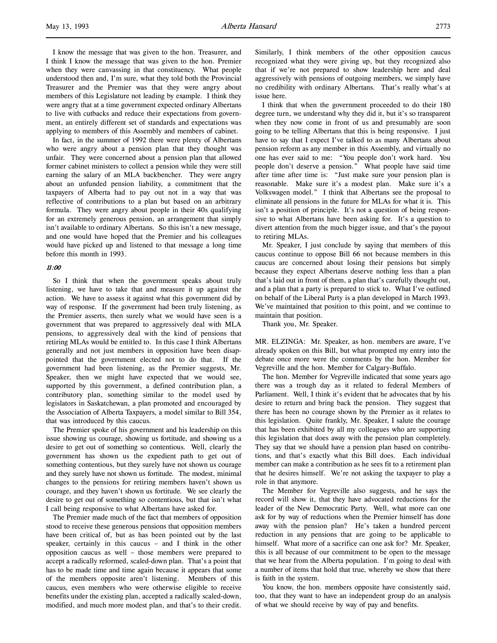I know the message that was given to the hon. Treasurer, and I think I know the message that was given to the hon. Premier when they were canvassing in that constituency. What people understood then and, I'm sure, what they told both the Provincial Treasurer and the Premier was that they were angry about members of this Legislature not leading by example. I think they were angry that at a time government expected ordinary Albertans to live with cutbacks and reduce their expectations from government, an entirely different set of standards and expectations was applying to members of this Assembly and members of cabinet.

In fact, in the summer of 1992 there were plenty of Albertans who were angry about a pension plan that they thought was unfair. They were concerned about a pension plan that allowed former cabinet ministers to collect a pension while they were still earning the salary of an MLA backbencher. They were angry about an unfunded pension liability, a commitment that the taxpayers of Alberta had to pay out not in a way that was reflective of contributions to a plan but based on an arbitrary formula. They were angry about people in their 40s qualifying for an extremely generous pension, an arrangement that simply isn't available to ordinary Albertans. So this isn't a new message, and one would have hoped that the Premier and his colleagues would have picked up and listened to that message a long time before this month in 1993.

## 11:00

So I think that when the government speaks about truly listening, we have to take that and measure it up against the action. We have to assess it against what this government did by way of response. If the government had been truly listening, as the Premier asserts, then surely what we would have seen is a government that was prepared to aggressively deal with MLA pensions, to aggressively deal with the kind of pensions that retiring MLAs would be entitled to. In this case I think Albertans generally and not just members in opposition have been disappointed that the government elected not to do that. If the government had been listening, as the Premier suggests, Mr. Speaker, then we might have expected that we would see, supported by this government, a defined contribution plan, a contributory plan, something similar to the model used by legislators in Saskatchewan, a plan promoted and encouraged by the Association of Alberta Taxpayers, a model similar to Bill 354, that was introduced by this caucus.

The Premier spoke of his government and his leadership on this issue showing us courage, showing us fortitude, and showing us a desire to get out of something so contentious. Well, clearly the government has shown us the expedient path to get out of something contentious, but they surely have not shown us courage and they surely have not shown us fortitude. The modest, minimal changes to the pensions for retiring members haven't shown us courage, and they haven't shown us fortitude. We see clearly the desire to get out of something so contentious, but that isn't what I call being responsive to what Albertans have asked for.

The Premier made much of the fact that members of opposition stood to receive these generous pensions that opposition members have been critical of, but as has been pointed out by the last speaker, certainly in this caucus – and I think in the other opposition caucus as well – those members were prepared to accept a radically reformed, scaled-down plan. That's a point that has to be made time and time again because it appears that some of the members opposite aren't listening. Members of this caucus, even members who were otherwise eligible to receive benefits under the existing plan, accepted a radically scaled-down, modified, and much more modest plan, and that's to their credit.

Similarly, I think members of the other opposition caucus recognized what they were giving up, but they recognized also that if we're not prepared to show leadership here and deal aggressively with pensions of outgoing members, we simply have no credibility with ordinary Albertans. That's really what's at issue here.

I think that when the government proceeded to do their 180 degree turn, we understand why they did it, but it's so transparent when they now come in front of us and presumably are soon going to be telling Albertans that this is being responsive. I just have to say that I expect I've talked to as many Albertans about pension reform as any member in this Assembly, and virtually no one has ever said to me: "You people don't work hard. You people don't deserve a pension." What people have said time after time after time is: "Just make sure your pension plan is reasonable. Make sure it's a modest plan. Make sure it's a Volkswagen model." I think that Albertans see the proposal to eliminate all pensions in the future for MLAs for what it is. This isn't a position of principle. It's not a question of being responsive to what Albertans have been asking for. It's a question to divert attention from the much bigger issue, and that's the payout to retiring MLAs.

Mr. Speaker, I just conclude by saying that members of this caucus continue to oppose Bill 66 not because members in this caucus are concerned about losing their pensions but simply because they expect Albertans deserve nothing less than a plan that's laid out in front of them, a plan that's carefully thought out, and a plan that a party is prepared to stick to. What I've outlined on behalf of the Liberal Party is a plan developed in March 1993. We've maintained that position to this point, and we continue to maintain that position.

Thank you, Mr. Speaker.

MR. ELZINGA: Mr. Speaker, as hon. members are aware, I've already spoken on this Bill, but what prompted my entry into the debate once more were the comments by the hon. Member for Vegreville and the hon. Member for Calgary-Buffalo.

The hon. Member for Vegreville indicated that some years ago there was a trough day as it related to federal Members of Parliament. Well, I think it's evident that he advocates that by his desire to return and bring back the pension. They suggest that there has been no courage shown by the Premier as it relates to this legislation. Quite frankly, Mr. Speaker, I salute the courage that has been exhibited by all my colleagues who are supporting this legislation that does away with the pension plan completely. They say that we should have a pension plan based on contributions, and that's exactly what this Bill does. Each individual member can make a contribution as he sees fit to a retirement plan that he desires himself. We're not asking the taxpayer to play a role in that anymore.

The Member for Vegreville also suggests, and he says the record will show it, that they have advocated reductions for the leader of the New Democratic Party. Well, what more can one ask for by way of reductions when the Premier himself has done away with the pension plan? He's taken a hundred percent reduction in any pensions that are going to be applicable to himself. What more of a sacrifice can one ask for? Mr. Speaker, this is all because of our commitment to be open to the message that we hear from the Alberta population. I'm going to deal with a number of items that hold that true, whereby we show that there is faith in the system.

You know, the hon. members opposite have consistently said, too, that they want to have an independent group do an analysis of what we should receive by way of pay and benefits.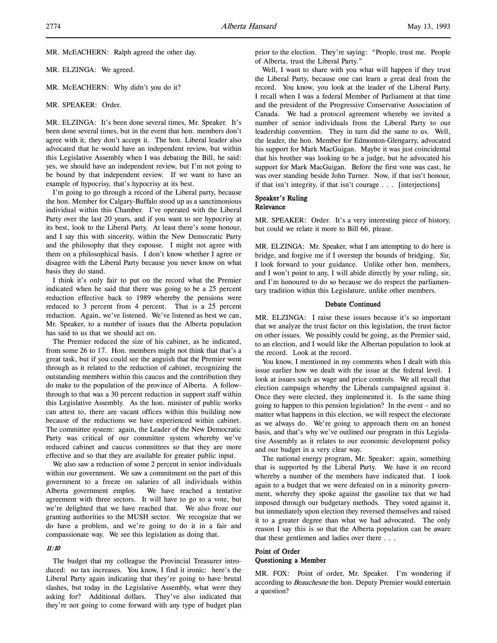MR. McEACHERN: Ralph agreed the other day.

MR. ELZINGA: We agreed.

MR. McEACHERN: Why didn't you do it?

#### MR. SPEAKER: Order.

MR. ELZINGA: It's been done several times, Mr. Speaker. It's been done several times, but in the event that hon. members don't agree with it, they don't accept it. The hon. Liberal leader also advocated that he would have an independent review, but within this Legislative Assembly when I was debating the Bill, he said: yes, we should have an independent review, but I'm not going to be bound by that independent review. If we want to have an example of hypocrisy, that's hypocrisy at its best.

I'm going to go through a record of the Liberal party, because the hon. Member for Calgary-Buffalo stood up as a sanctimonious individual within this Chamber. I've operated with the Liberal Party over the last 20 years, and if you want to see hypocrisy at its best, look to the Liberal Party. At least there's some honour, and I say this with sincerity, within the New Democratic Party and the philosophy that they espouse. I might not agree with them on a philosophical basis. I don't know whether I agree or disagree with the Liberal Party because you never know on what basis they do stand.

I think it's only fair to put on the record what the Premier indicated when he said that there was going to be a 25 percent reduction effective back to 1989 whereby the pensions were reduced to 3 percent from 4 percent. That is a 25 percent reduction. Again, we've listened. We've listened as best we can, Mr. Speaker, to a number of issues that the Alberta population has said to us that we should act on.

The Premier reduced the size of his cabinet, as he indicated, from some 26 to 17. Hon. members might not think that that's a great task, but if you could see the anguish that the Premier went through as it related to the reduction of cabinet, recognizing the outstanding members within this caucus and the contribution they do make to the population of the province of Alberta. A followthrough to that was a 30 percent reduction in support staff within this Legislative Assembly. As the hon. minister of public works can attest to, there are vacant offices within this building now because of the reductions we have experienced within cabinet. The committee system: again, the Leader of the New Democratic Party was critical of our committee system whereby we've reduced cabinet and caucus committees so that they are more effective and so that they are available for greater public input.

We also saw a reduction of some 2 percent in senior individuals within our government. We saw a commitment on the part of this government to a freeze on salaries of all individuals within Alberta government employ. We have reached a tentative agreement with three sectors. It will have to go to a vote, but we're delighted that we have reached that. We also froze our granting authorities to the MUSH sector. We recognize that we do have a problem, and we're going to do it in a fair and compassionate way. We see this legislation as doing that.

# 11:10

The budget that my colleague the Provincial Treasurer introduced: no tax increases. You know, I find it ironic: here's the Liberal Party again indicating that they're going to have brutal slashes, but today in the Legislative Assembly, what were they asking for? Additional dollars. They've also indicated that they're not going to come forward with any type of budget plan

prior to the election. They're saying: "People, trust me. People of Alberta, trust the Liberal Party."

Well, I want to share with you what will happen if they trust the Liberal Party, because one can learn a great deal from the record. You know, you look at the leader of the Liberal Party. I recall when I was a federal Member of Parliament at that time and the president of the Progressive Conservative Association of Canada. We had a protocol agreement whereby we invited a number of senior individuals from the Liberal Party to our leadership convention. They in turn did the same to us. Well, the leader, the hon. Member for Edmonton-Glengarry, advocated his support for Mark MacGuigan. Maybe it was just coincidental that his brother was looking to be a judge, but he advocated his support for Mark MacGuigan. Before the first vote was cast, he was over standing beside John Turner. Now, if that isn't honour, if that isn't integrity, if that isn't courage . . . [interjections]

#### Speaker's Ruling Relevance

MR. SPEAKER: Order. It's a very interesting piece of history, but could we relate it more to Bill 66, please.

MR. ELZINGA: Mr. Speaker, what I am attempting to do here is bridge, and forgive me if I overstep the bounds of bridging. Sir, I look forward to your guidance. Unlike other hon. members, and I won't point to any, I will abide directly by your ruling, sir, and I'm honoured to do so because we do respect the parliamentary tradition within this Legislature, unlike other members.

## Debate Continued

MR. ELZINGA: I raise these issues because it's so important that we analyze the trust factor on this legislation, the trust factor on other issues. We possibly could be going, as the Premier said, to an election, and I would like the Albertan population to look at the record. Look at the record.

You know, I mentioned in my comments when I dealt with this issue earlier how we dealt with the issue at the federal level. I look at issues such as wage and price controls. We all recall that election campaign whereby the Liberals campaigned against it. Once they were elected, they implemented it. Is the same thing going to happen to this pension legislation? In the event – and no matter what happens in this election, we will respect the electorate as we always do. We're going to approach them on an honest basis, and that's why we've outlined our program in this Legislative Assembly as it relates to our economic development policy and our budget in a very clear way.

The national energy program, Mr. Speaker: again, something that is supported by the Liberal Party. We have it on record whereby a number of the members have indicated that. I look again to a budget that we were defeated on in a minority government, whereby they spoke against the gasoline tax that we had imposed through our budgetary methods. They voted against it, but immediately upon election they reversed themselves and raised it to a greater degree than what we had advocated. The only reason I say this is so that the Alberta population can be aware that these gentlemen and ladies over there . . .

# Point of Order Questioning a Member

MR. FOX: Point of order, Mr. Speaker. I'm wondering if according to Beauchesne the hon. Deputy Premier would entertain a question?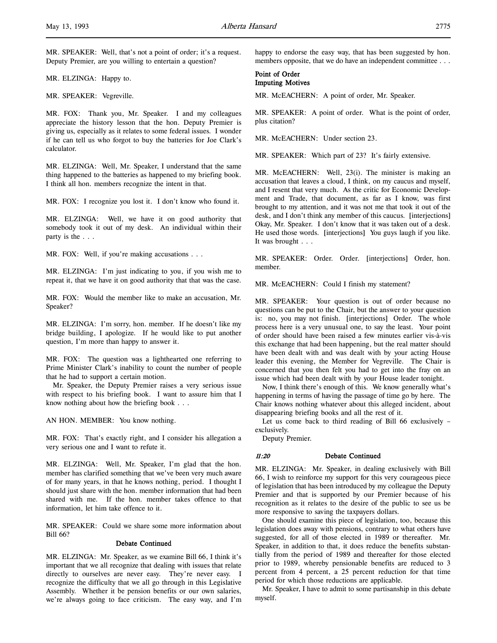MR. SPEAKER: Well, that's not a point of order; it's a request. Deputy Premier, are you willing to entertain a question?

MR. ELZINGA: Happy to.

MR. SPEAKER: Vegreville.

MR. FOX: Thank you, Mr. Speaker. I and my colleagues appreciate the history lesson that the hon. Deputy Premier is giving us, especially as it relates to some federal issues. I wonder if he can tell us who forgot to buy the batteries for Joe Clark's calculator.

MR. ELZINGA: Well, Mr. Speaker, I understand that the same thing happened to the batteries as happened to my briefing book. I think all hon. members recognize the intent in that.

MR. FOX: I recognize you lost it. I don't know who found it.

MR. ELZINGA: Well, we have it on good authority that somebody took it out of my desk. An individual within their party is the . . .

MR. FOX: Well, if you're making accusations . . .

MR. ELZINGA: I'm just indicating to you, if you wish me to repeat it, that we have it on good authority that that was the case.

MR. FOX: Would the member like to make an accusation, Mr. Speaker?

MR. ELZINGA: I'm sorry, hon. member. If he doesn't like my bridge building, I apologize. If he would like to put another question, I'm more than happy to answer it.

MR. FOX: The question was a lighthearted one referring to Prime Minister Clark's inability to count the number of people that he had to support a certain motion.

Mr. Speaker, the Deputy Premier raises a very serious issue with respect to his briefing book. I want to assure him that I know nothing about how the briefing book . . .

AN HON. MEMBER: You know nothing.

MR. FOX: That's exactly right, and I consider his allegation a very serious one and I want to refute it.

MR. ELZINGA: Well, Mr. Speaker, I'm glad that the hon. member has clarified something that we've been very much aware of for many years, in that he knows nothing, period. I thought I should just share with the hon. member information that had been shared with me. If the hon. member takes offence to that information, let him take offence to it.

MR. SPEAKER: Could we share some more information about Bill 66?

## Debate Continued

MR. ELZINGA: Mr. Speaker, as we examine Bill 66, I think it's important that we all recognize that dealing with issues that relate directly to ourselves are never easy. They're never easy. I recognize the difficulty that we all go through in this Legislative Assembly. Whether it be pension benefits or our own salaries, we're always going to face criticism. The easy way, and I'm happy to endorse the easy way, that has been suggested by hon. members opposite, that we do have an independent committee . . .

#### Point of Order Imputing Motives

MR. McEACHERN: A point of order, Mr. Speaker.

MR. SPEAKER: A point of order. What is the point of order, plus citation?

MR. McEACHERN: Under section 23.

MR. SPEAKER: Which part of 23? It's fairly extensive.

MR. McEACHERN: Well, 23(i). The minister is making an accusation that leaves a cloud, I think, on my caucus and myself, and I resent that very much. As the critic for Economic Development and Trade, that document, as far as I know, was first brought to my attention, and it was not me that took it out of the desk, and I don't think any member of this caucus. [interjections] Okay, Mr. Speaker. I don't know that it was taken out of a desk. He used those words. [interjections] You guys laugh if you like. It was brought . . .

MR. SPEAKER: Order. Order. [interjections] Order, hon. member.

MR. McEACHERN: Could I finish my statement?

MR. SPEAKER: Your question is out of order because no questions can be put to the Chair, but the answer to your question is: no, you may not finish. [interjections] Order. The whole process here is a very unusual one, to say the least. Your point of order should have been raised a few minutes earlier vis-à-vis this exchange that had been happening, but the real matter should have been dealt with and was dealt with by your acting House leader this evening, the Member for Vegreville. The Chair is concerned that you then felt you had to get into the fray on an issue which had been dealt with by your House leader tonight.

Now, I think there's enough of this. We know generally what's happening in terms of having the passage of time go by here. The Chair knows nothing whatever about this alleged incident, about disappearing briefing books and all the rest of it.

Let us come back to third reading of Bill 66 exclusively – exclusively.

Deputy Premier.

#### 11:20 Debate Continued

MR. ELZINGA: Mr. Speaker, in dealing exclusively with Bill 66, I wish to reinforce my support for this very courageous piece of legislation that has been introduced by my colleague the Deputy Premier and that is supported by our Premier because of his recognition as it relates to the desire of the public to see us be more responsive to saving the taxpayers dollars.

One should examine this piece of legislation, too, because this legislation does away with pensions, contrary to what others have suggested, for all of those elected in 1989 or thereafter. Mr. Speaker, in addition to that, it does reduce the benefits substantially from the period of 1989 and thereafter for those elected prior to 1989, whereby pensionable benefits are reduced to 3 percent from 4 percent, a 25 percent reduction for that time period for which those reductions are applicable.

Mr. Speaker, I have to admit to some partisanship in this debate myself.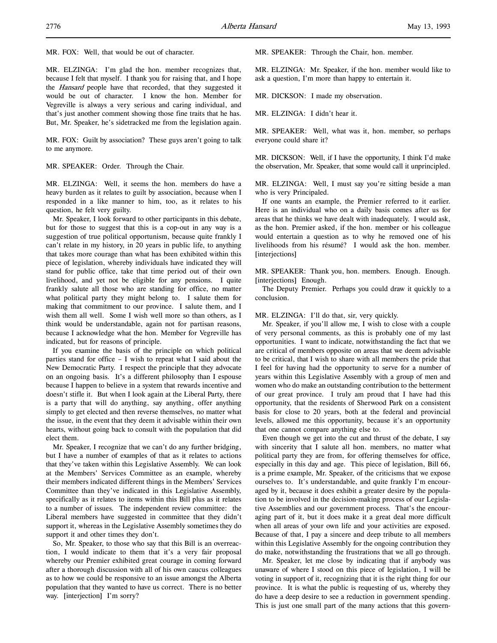MR. FOX: Well, that would be out of character.

MR. ELZINGA: I'm glad the hon. member recognizes that, because I felt that myself. I thank you for raising that, and I hope the *Hansard* people have that recorded, that they suggested it would be out of character. I know the hon. Member for Vegreville is always a very serious and caring individual, and that's just another comment showing those fine traits that he has. But, Mr. Speaker, he's sidetracked me from the legislation again.

MR. FOX: Guilt by association? These guys aren't going to talk to me anymore.

MR. SPEAKER: Order. Through the Chair.

MR. ELZINGA: Well, it seems the hon. members do have a heavy burden as it relates to guilt by association, because when I responded in a like manner to him, too, as it relates to his question, he felt very guilty.

Mr. Speaker, I look forward to other participants in this debate, but for those to suggest that this is a cop-out in any way is a suggestion of true political opportunism, because quite frankly I can't relate in my history, in 20 years in public life, to anything that takes more courage than what has been exhibited within this piece of legislation, whereby individuals have indicated they will stand for public office, take that time period out of their own livelihood, and yet not be eligible for any pensions. I quite frankly salute all those who are standing for office, no matter what political party they might belong to. I salute them for making that commitment to our province. I salute them, and I wish them all well. Some I wish well more so than others, as I think would be understandable, again not for partisan reasons, because I acknowledge what the hon. Member for Vegreville has indicated, but for reasons of principle.

If you examine the basis of the principle on which political parties stand for office – I wish to repeat what I said about the New Democratic Party. I respect the principle that they advocate on an ongoing basis. It's a different philosophy than I espouse because I happen to believe in a system that rewards incentive and doesn't stifle it. But when I look again at the Liberal Party, there is a party that will do anything, say anything, offer anything simply to get elected and then reverse themselves, no matter what the issue, in the event that they deem it advisable within their own hearts, without going back to consult with the population that did elect them.

Mr. Speaker, I recognize that we can't do any further bridging, but I have a number of examples of that as it relates to actions that they've taken within this Legislative Assembly. We can look at the Members' Services Committee as an example, whereby their members indicated different things in the Members' Services Committee than they've indicated in this Legislative Assembly, specifically as it relates to items within this Bill plus as it relates to a number of issues. The independent review committee: the Liberal members have suggested in committee that they didn't support it, whereas in the Legislative Assembly sometimes they do support it and other times they don't.

So, Mr. Speaker, to those who say that this Bill is an overreaction, I would indicate to them that it's a very fair proposal whereby our Premier exhibited great courage in coming forward after a thorough discussion with all of his own caucus colleagues as to how we could be responsive to an issue amongst the Alberta population that they wanted to have us correct. There is no better way. [interjection] I'm sorry?

MR. SPEAKER: Through the Chair, hon. member.

MR. ELZINGA: Mr. Speaker, if the hon. member would like to ask a question, I'm more than happy to entertain it.

MR. DICKSON: I made my observation.

MR. ELZINGA: I didn't hear it.

MR. SPEAKER: Well, what was it, hon. member, so perhaps everyone could share it?

MR. DICKSON: Well, if I have the opportunity, I think I'd make the observation, Mr. Speaker, that some would call it unprincipled.

MR. ELZINGA: Well, I must say you're sitting beside a man who is very Principaled.

If one wants an example, the Premier referred to it earlier. Here is an individual who on a daily basis comes after us for areas that he thinks we have dealt with inadequately. I would ask, as the hon. Premier asked, if the hon. member or his colleague would entertain a question as to why he removed one of his livelihoods from his résumé? I would ask the hon. member. [interjections]

MR. SPEAKER: Thank you, hon. members. Enough. Enough. [interjections] Enough.

The Deputy Premier. Perhaps you could draw it quickly to a conclusion.

## MR. ELZINGA: I'll do that, sir, very quickly.

Mr. Speaker, if you'll allow me, I wish to close with a couple of very personal comments, as this is probably one of my last opportunities. I want to indicate, notwithstanding the fact that we are critical of members opposite on areas that we deem advisable to be critical, that I wish to share with all members the pride that I feel for having had the opportunity to serve for a number of years within this Legislative Assembly with a group of men and women who do make an outstanding contribution to the betterment of our great province. I truly am proud that I have had this opportunity, that the residents of Sherwood Park on a consistent basis for close to 20 years, both at the federal and provincial levels, allowed me this opportunity, because it's an opportunity that one cannot compare anything else to.

Even though we get into the cut and thrust of the debate, I say with sincerity that I salute all hon. members, no matter what political party they are from, for offering themselves for office, especially in this day and age. This piece of legislation, Bill 66, is a prime example, Mr. Speaker, of the criticisms that we expose ourselves to. It's understandable, and quite frankly I'm encouraged by it, because it does exhibit a greater desire by the population to be involved in the decision-making process of our Legislative Assemblies and our government process. That's the encouraging part of it, but it does make it a great deal more difficult when all areas of your own life and your activities are exposed. Because of that, I pay a sincere and deep tribute to all members within this Legislative Assembly for the ongoing contribution they do make, notwithstanding the frustrations that we all go through.

Mr. Speaker, let me close by indicating that if anybody was unaware of where I stood on this piece of legislation, I will be voting in support of it, recognizing that it is the right thing for our province. It is what the public is requesting of us, whereby they do have a deep desire to see a reduction in government spending. This is just one small part of the many actions that this govern-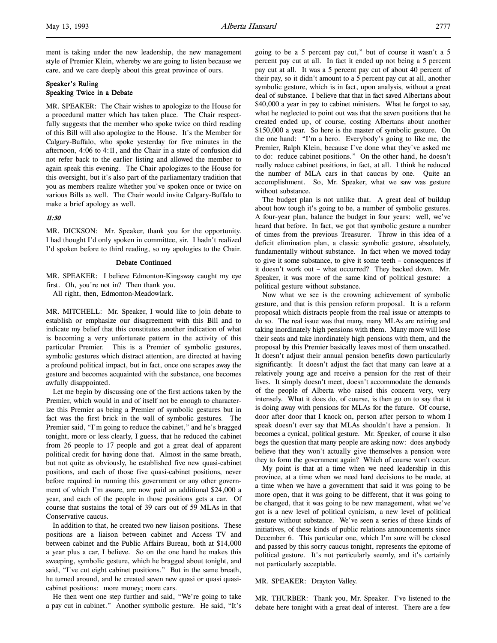# Speaker's Ruling Speaking Twice in a Debate

MR. SPEAKER: The Chair wishes to apologize to the House for a procedural matter which has taken place. The Chair respectfully suggests that the member who spoke twice on third reading of this Bill will also apologize to the House. It's the Member for Calgary-Buffalo, who spoke yesterday for five minutes in the afternoon, 4:06 to 4:11, and the Chair in a state of confusion did not refer back to the earlier listing and allowed the member to again speak this evening. The Chair apologizes to the House for this oversight, but it's also part of the parliamentary tradition that you as members realize whether you've spoken once or twice on various Bills as well. The Chair would invite Calgary-Buffalo to make a brief apology as well.

## 11:30

MR. DICKSON: Mr. Speaker, thank you for the opportunity. I had thought I'd only spoken in committee, sir. I hadn't realized I'd spoken before to third reading, so my apologies to the Chair.

# Debate Continued

MR. SPEAKER: I believe Edmonton-Kingsway caught my eye first. Oh, you're not in? Then thank you.

All right, then, Edmonton-Meadowlark.

MR. MITCHELL: Mr. Speaker, I would like to join debate to establish or emphasize our disagreement with this Bill and to indicate my belief that this constitutes another indication of what is becoming a very unfortunate pattern in the activity of this particular Premier. This is a Premier of symbolic gestures, symbolic gestures which distract attention, are directed at having a profound political impact, but in fact, once one scrapes away the gesture and becomes acquainted with the substance, one becomes awfully disappointed.

Let me begin by discussing one of the first actions taken by the Premier, which would in and of itself not be enough to characterize this Premier as being a Premier of symbolic gestures but in fact was the first brick in the wall of symbolic gestures. The Premier said, "I'm going to reduce the cabinet," and he's bragged tonight, more or less clearly, I guess, that he reduced the cabinet from 26 people to 17 people and got a great deal of apparent political credit for having done that. Almost in the same breath, but not quite as obviously, he established five new quasi-cabinet positions, and each of those five quasi-cabinet positions, never before required in running this government or any other government of which I'm aware, are now paid an additional \$24,000 a year, and each of the people in those positions gets a car. Of course that sustains the total of 39 cars out of 59 MLAs in that Conservative caucus.

In addition to that, he created two new liaison positions. These positions are a liaison between cabinet and Access TV and between cabinet and the Public Affairs Bureau, both at \$14,000 a year plus a car, I believe. So on the one hand he makes this sweeping, symbolic gesture, which he bragged about tonight, and said, "I've cut eight cabinet positions." But in the same breath, he turned around, and he created seven new quasi or quasi quasicabinet positions: more money; more cars.

He then went one step further and said, "We're going to take a pay cut in cabinet." Another symbolic gesture. He said, "It's going to be a 5 percent pay cut," but of course it wasn't a 5 percent pay cut at all. In fact it ended up not being a 5 percent pay cut at all. It was a 5 percent pay cut of about 40 percent of their pay, so it didn't amount to a 5 percent pay cut at all, another symbolic gesture, which is in fact, upon analysis, without a great deal of substance. I believe that that in fact saved Albertans about \$40,000 a year in pay to cabinet ministers. What he forgot to say, what he neglected to point out was that the seven positions that he created ended up, of course, costing Albertans about another \$150,000 a year. So here is the master of symbolic gesture. On the one hand: "I'm a hero. Everybody's going to like me, the Premier, Ralph Klein, because I've done what they've asked me to do: reduce cabinet positions." On the other hand, he doesn't really reduce cabinet positions, in fact, at all. I think he reduced the number of MLA cars in that caucus by one. Quite an accomplishment. So, Mr. Speaker, what we saw was gesture without substance.

The budget plan is not unlike that. A great deal of buildup about how tough it's going to be, a number of symbolic gestures. A four-year plan, balance the budget in four years: well, we've heard that before. In fact, we got that symbolic gesture a number of times from the previous Treasurer. Throw in this idea of a deficit elimination plan, a classic symbolic gesture, absolutely, fundamentally without substance. In fact when we moved today to give it some substance, to give it some teeth – consequences if it doesn't work out – what occurred? They backed down. Mr. Speaker, it was more of the same kind of political gesture: a political gesture without substance.

Now what we see is the crowning achievement of symbolic gesture, and that is this pension reform proposal. It is a reform proposal which distracts people from the real issue or attempts to do so. The real issue was that many, many MLAs are retiring and taking inordinately high pensions with them. Many more will lose their seats and take inordinately high pensions with them, and the proposal by this Premier basically leaves most of them unscathed. It doesn't adjust their annual pension benefits down particularly significantly. It doesn't adjust the fact that many can leave at a relatively young age and receive a pension for the rest of their lives. It simply doesn't meet, doesn't accommodate the demands of the people of Alberta who raised this concern very, very intensely. What it does do, of course, is then go on to say that it is doing away with pensions for MLAs for the future. Of course, door after door that I knock on, person after person to whom I speak doesn't ever say that MLAs shouldn't have a pension. It becomes a cynical, political gesture. Mr. Speaker, of course it also begs the question that many people are asking now: does anybody believe that they won't actually give themselves a pension were they to form the government again? Which of course won't occur.

My point is that at a time when we need leadership in this province, at a time when we need hard decisions to be made, at a time when we have a government that said it was going to be more open, that it was going to be different, that it was going to be changed, that it was going to be new management, what we've got is a new level of political cynicism, a new level of political gesture without substance. We've seen a series of these kinds of initiatives, of these kinds of public relations announcements since December 6. This particular one, which I'm sure will be closed and passed by this sorry caucus tonight, represents the epitome of political gesture. It's not particularly seemly, and it's certainly not particularly acceptable.

#### MR. SPEAKER: Drayton Valley.

MR. THURBER: Thank you, Mr. Speaker. I've listened to the debate here tonight with a great deal of interest. There are a few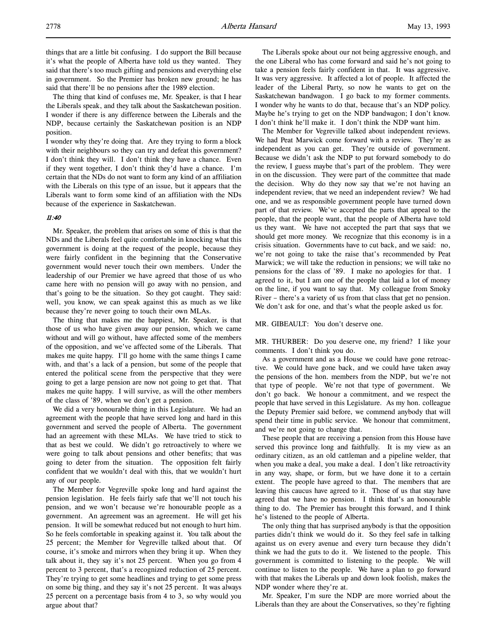things that are a little bit confusing. I do support the Bill because it's what the people of Alberta have told us they wanted. They said that there's too much gifting and pensions and everything else in government. So the Premier has broken new ground; he has said that there'll be no pensions after the 1989 election.

The thing that kind of confuses me, Mr. Speaker, is that I hear the Liberals speak, and they talk about the Saskatchewan position. I wonder if there is any difference between the Liberals and the NDP, because certainly the Saskatchewan position is an NDP position.

I wonder why they're doing that. Are they trying to form a block with their neighbours so they can try and defeat this government? I don't think they will. I don't think they have a chance. Even if they went together, I don't think they'd have a chance. I'm certain that the NDs do not want to form any kind of an affiliation with the Liberals on this type of an issue, but it appears that the Liberals want to form some kind of an affiliation with the NDs because of the experience in Saskatchewan.

## 11:40

Mr. Speaker, the problem that arises on some of this is that the NDs and the Liberals feel quite comfortable in knocking what this government is doing at the request of the people, because they were fairly confident in the beginning that the Conservative government would never touch their own members. Under the leadership of our Premier we have agreed that those of us who came here with no pension will go away with no pension, and that's going to be the situation. So they got caught. They said: well, you know, we can speak against this as much as we like because they're never going to touch their own MLAs.

The thing that makes me the happiest, Mr. Speaker, is that those of us who have given away our pension, which we came without and will go without, have affected some of the members of the opposition, and we've affected some of the Liberals. That makes me quite happy. I'll go home with the same things I came with, and that's a lack of a pension, but some of the people that entered the political scene from the perspective that they were going to get a large pension are now not going to get that. That makes me quite happy. I will survive, as will the other members of the class of '89, when we don't get a pension.

We did a very honourable thing in this Legislature. We had an agreement with the people that have served long and hard in this government and served the people of Alberta. The government had an agreement with these MLAs. We have tried to stick to that as best we could. We didn't go retroactively to where we were going to talk about pensions and other benefits; that was going to deter from the situation. The opposition felt fairly confident that we wouldn't deal with this, that we wouldn't hurt any of our people.

The Member for Vegreville spoke long and hard against the pension legislation. He feels fairly safe that we'll not touch his pension, and we won't because we're honourable people as a government. An agreement was an agreement. He will get his pension. It will be somewhat reduced but not enough to hurt him. So he feels comfortable in speaking against it. You talk about the 25 percent; the Member for Vegreville talked about that. Of course, it's smoke and mirrors when they bring it up. When they talk about it, they say it's not 25 percent. When you go from 4 percent to 3 percent, that's a recognized reduction of 25 percent. They're trying to get some headlines and trying to get some press on some big thing, and they say it's not 25 percent. It was always 25 percent on a percentage basis from 4 to 3, so why would you argue about that?

The Liberals spoke about our not being aggressive enough, and the one Liberal who has come forward and said he's not going to take a pension feels fairly confident in that. It was aggressive. It was very aggressive. It affected a lot of people. It affected the leader of the Liberal Party, so now he wants to get on the Saskatchewan bandwagon. I go back to my former comments. I wonder why he wants to do that, because that's an NDP policy. Maybe he's trying to get on the NDP bandwagon; I don't know. I don't think he'll make it. I don't think the NDP want him.

The Member for Vegreville talked about independent reviews. We had Peat Marwick come forward with a review. They're as independent as you can get. They're outside of government. Because we didn't ask the NDP to put forward somebody to do the review, I guess maybe that's part of the problem. They were in on the discussion. They were part of the committee that made the decision. Why do they now say that we're not having an independent review, that we need an independent review? We had one, and we as responsible government people have turned down part of that review. We've accepted the parts that appeal to the people, that the people want, that the people of Alberta have told us they want. We have not accepted the part that says that we should get more money. We recognize that this economy is in a crisis situation. Governments have to cut back, and we said: no, we're not going to take the raise that's recommended by Peat Marwick; we will take the reduction in pensions; we will take no pensions for the class of '89. I make no apologies for that. I agreed to it, but I am one of the people that laid a lot of money on the line, if you want to say that. My colleague from Smoky River – there's a variety of us from that class that get no pension. We don't ask for one, and that's what the people asked us for.

# MR. GIBEAULT: You don't deserve one.

MR. THURBER: Do you deserve one, my friend? I like your comments. I don't think you do.

As a government and as a House we could have gone retroactive. We could have gone back, and we could have taken away the pensions of the hon. members from the NDP, but we're not that type of people. We're not that type of government. We don't go back. We honour a commitment, and we respect the people that have served in this Legislature. As my hon. colleague the Deputy Premier said before, we commend anybody that will spend their time in public service. We honour that commitment, and we're not going to change that.

These people that are receiving a pension from this House have served this province long and faithfully. It is my view as an ordinary citizen, as an old cattleman and a pipeline welder, that when you make a deal, you make a deal. I don't like retroactivity in any way, shape, or form, but we have done it to a certain extent. The people have agreed to that. The members that are leaving this caucus have agreed to it. Those of us that stay have agreed that we have no pension. I think that's an honourable thing to do. The Premier has brought this forward, and I think he's listened to the people of Alberta.

The only thing that has surprised anybody is that the opposition parties didn't think we would do it. So they feel safe in talking against us on every avenue and every turn because they didn't think we had the guts to do it. We listened to the people. This government is committed to listening to the people. We will continue to listen to the people. We have a plan to go forward with that makes the Liberals up and down look foolish, makes the NDP wonder where they're at.

Mr. Speaker, I'm sure the NDP are more worried about the Liberals than they are about the Conservatives, so they're fighting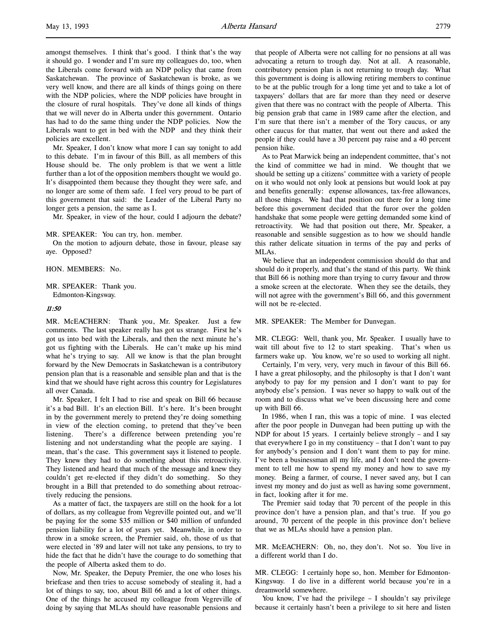amongst themselves. I think that's good. I think that's the way it should go. I wonder and I'm sure my colleagues do, too, when the Liberals come forward with an NDP policy that came from Saskatchewan. The province of Saskatchewan is broke, as we very well know, and there are all kinds of things going on there with the NDP policies, where the NDP policies have brought in the closure of rural hospitals. They've done all kinds of things that we will never do in Alberta under this government. Ontario has had to do the same thing under the NDP policies. Now the Liberals want to get in bed with the NDP and they think their policies are excellent.

Mr. Speaker, I don't know what more I can say tonight to add to this debate. I'm in favour of this Bill, as all members of this House should be. The only problem is that we went a little further than a lot of the opposition members thought we would go. It's disappointed them because they thought they were safe, and no longer are some of them safe. I feel very proud to be part of this government that said: the Leader of the Liberal Party no longer gets a pension, the same as I.

Mr. Speaker, in view of the hour, could I adjourn the debate?

MR. SPEAKER: You can try, hon. member.

On the motion to adjourn debate, those in favour, please say aye. Opposed?

HON. MEMBERS: No.

MR. SPEAKER: Thank you. Edmonton-Kingsway.

#### 11:50

MR. McEACHERN: Thank you, Mr. Speaker. Just a few comments. The last speaker really has got us strange. First he's got us into bed with the Liberals, and then the next minute he's got us fighting with the Liberals. He can't make up his mind what he's trying to say. All we know is that the plan brought forward by the New Democrats in Saskatchewan is a contributory pension plan that is a reasonable and sensible plan and that is the kind that we should have right across this country for Legislatures all over Canada.

Mr. Speaker, I felt I had to rise and speak on Bill 66 because it's a bad Bill. It's an election Bill. It's here. It's been brought in by the government merely to pretend they're doing something in view of the election coming, to pretend that they've been listening. There's a difference between pretending you're listening and not understanding what the people are saying. I mean, that's the case. This government says it listened to people. They knew they had to do something about this retroactivity. They listened and heard that much of the message and knew they couldn't get re-elected if they didn't do something. So they brought in a Bill that pretended to do something about retroactively reducing the pensions.

As a matter of fact, the taxpayers are still on the hook for a lot of dollars, as my colleague from Vegreville pointed out, and we'll be paying for the some \$35 million or \$40 million of unfunded pension liability for a lot of years yet. Meanwhile, in order to throw in a smoke screen, the Premier said, oh, those of us that were elected in '89 and later will not take any pensions, to try to hide the fact that he didn't have the courage to do something that the people of Alberta asked them to do.

Now, Mr. Speaker, the Deputy Premier, the one who loses his briefcase and then tries to accuse somebody of stealing it, had a lot of things to say, too, about Bill 66 and a lot of other things. One of the things he accused my colleague from Vegreville of doing by saying that MLAs should have reasonable pensions and

that people of Alberta were not calling for no pensions at all was advocating a return to trough day. Not at all. A reasonable, contributory pension plan is not returning to trough day. What this government is doing is allowing retiring members to continue to be at the public trough for a long time yet and to take a lot of taxpayers' dollars that are far more than they need or deserve given that there was no contract with the people of Alberta. This big pension grab that came in 1989 came after the election, and I'm sure that there isn't a member of the Tory caucus, or any other caucus for that matter, that went out there and asked the people if they could have a 30 percent pay raise and a 40 percent pension hike.

As to Peat Marwick being an independent committee, that's not the kind of committee we had in mind. We thought that we should be setting up a citizens' committee with a variety of people on it who would not only look at pensions but would look at pay and benefits generally: expense allowances, tax-free allowances, all those things. We had that position out there for a long time before this government decided that the furor over the golden handshake that some people were getting demanded some kind of retroactivity. We had that position out there, Mr. Speaker, a reasonable and sensible suggestion as to how we should handle this rather delicate situation in terms of the pay and perks of MLAs.

We believe that an independent commission should do that and should do it properly, and that's the stand of this party. We think that Bill 66 is nothing more than trying to curry favour and throw a smoke screen at the electorate. When they see the details, they will not agree with the government's Bill 66, and this government will not be re-elected.

#### MR. SPEAKER: The Member for Dunvegan.

MR. CLEGG: Well, thank you, Mr. Speaker. I usually have to wait till about five to 12 to start speaking. That's when us farmers wake up. You know, we're so used to working all night.

Certainly, I'm very, very, very much in favour of this Bill 66. I have a great philosophy, and the philosophy is that I don't want anybody to pay for my pension and I don't want to pay for anybody else's pension. I was never so happy to walk out of the room and to discuss what we've been discussing here and come up with Bill 66.

In 1986, when I ran, this was a topic of mine. I was elected after the poor people in Dunvegan had been putting up with the NDP for about 15 years. I certainly believe strongly – and I say that everywhere I go in my constituency – that I don't want to pay for anybody's pension and I don't want them to pay for mine. I've been a businessman all my life, and I don't need the government to tell me how to spend my money and how to save my money. Being a farmer, of course, I never saved any, but I can invest my money and do just as well as having some government, in fact, looking after it for me.

The Premier said today that 70 percent of the people in this province don't have a pension plan, and that's true. If you go around, 70 percent of the people in this province don't believe that we as MLAs should have a pension plan.

MR. McEACHERN: Oh, no, they don't. Not so. You live in a different world than I do.

MR. CLEGG: I certainly hope so, hon. Member for Edmonton-Kingsway. I do live in a different world because you're in a dreamworld somewhere.

You know, I've had the privilege - I shouldn't say privilege because it certainly hasn't been a privilege to sit here and listen